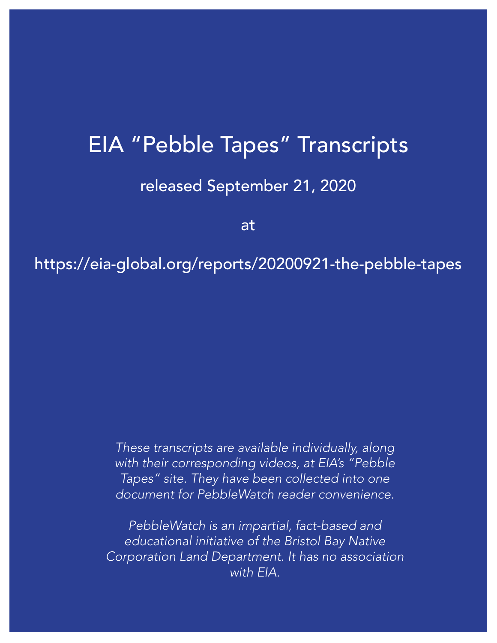#### EIA "Pebble Tapes" Transcripts

#### released September 21, 2020

at

#### https://eia-global.org/reports/20200921-the-pebble-tapes

*These transcripts are available individually, along with their corresponding videos, at EIA's "Pebble Tapes" site. They have been collected into one document for PebbleWatch reader convenience.*

*PebbleWatch is an impartial, fact-based and educational initiative of the Bristol Bay Native [Corporation Land Department. It has no association](www.pebblewatch.com)  with EIA.*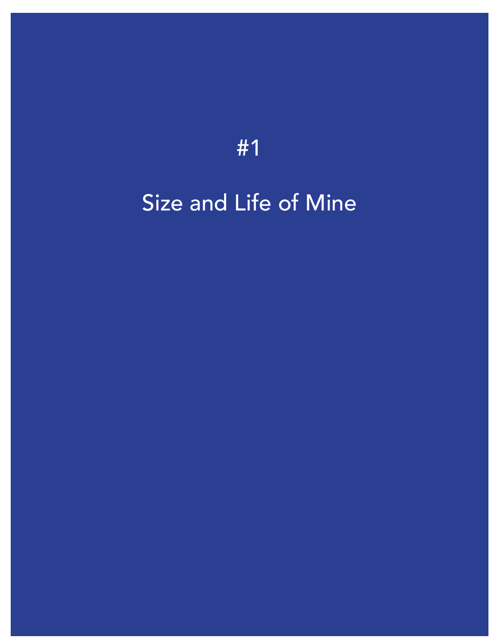## [Size and Life of Mine](https://vimeo.com/459804434)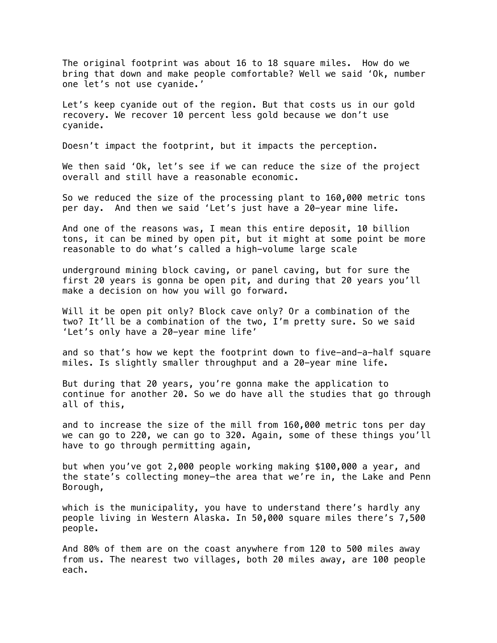The original footprint was about 16 to 18 square miles. How do we bring that down and make people comfortable? Well we said 'Ok, number one let's not use cyanide.'

Let's keep cyanide out of the region. But that costs us in our gold recovery. We recover 10 percent less gold because we don't use cyanide.

Doesn't impact the footprint, but it impacts the perception.

We then said 'Ok, let's see if we can reduce the size of the project overall and still have a reasonable economic.

So we reduced the size of the processing plant to 160,000 metric tons per day. And then we said 'Let's just have a 20-year mine life.

And one of the reasons was, I mean this entire deposit, 10 billion tons, it can be mined by open pit, but it might at some point be more reasonable to do what's called a high-volume large scale

underground mining block caving, or panel caving, but for sure the first 20 years is gonna be open pit, and during that 20 years you'll make a decision on how you will go forward.

Will it be open pit only? Block cave only? Or a combination of the two? It'll be a combination of the two, I'm pretty sure. So we said 'Let's only have a 20-year mine life'

and so that's how we kept the footprint down to five-and-a-half square miles. Is slightly smaller throughput and a 20-year mine life.

But during that 20 years, you're gonna make the application to continue for another 20. So we do have all the studies that go through all of this,

and to increase the size of the mill from 160,000 metric tons per day we can go to 220, we can go to 320. Again, some of these things you'll have to go through permitting again,

but when you've got 2,000 people working making \$100,000 a year, and the state's collecting money—the area that we're in, the Lake and Penn Borough,

which is the municipality, you have to understand there's hardly any people living in Western Alaska. In 50,000 square miles there's 7,500 people.

And 80% of them are on the coast anywhere from 120 to 500 miles away from us. The nearest two villages, both 20 miles away, are 100 people each.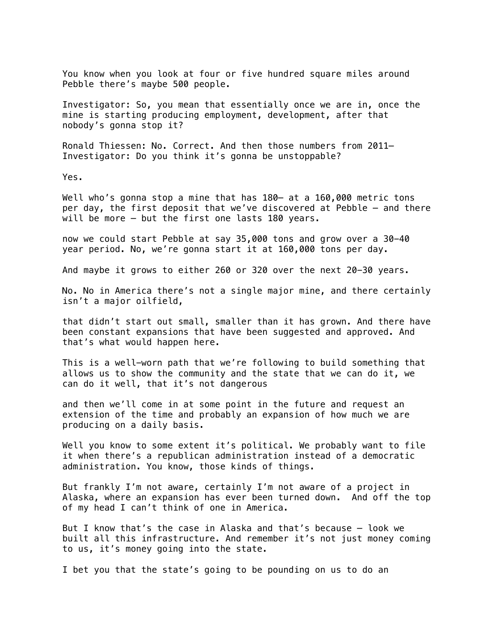You know when you look at four or five hundred square miles around Pebble there's maybe 500 people.

Investigator: So, you mean that essentially once we are in, once the mine is starting producing employment, development, after that nobody's gonna stop it?

Ronald Thiessen: No. Correct. And then those numbers from 2011— Investigator: Do you think it's gonna be unstoppable?

Yes.

Well who's gonna stop a mine that has 180- at a 160,000 metric tons per day, the first deposit that we've discovered at Pebble – and there will be more – but the first one lasts 180 years.

now we could start Pebble at say 35,000 tons and grow over a 30-40 year period. No, we're gonna start it at 160,000 tons per day.

And maybe it grows to either 260 or 320 over the next 20-30 years.

No. No in America there's not a single major mine, and there certainly isn't a major oilfield,

that didn't start out small, smaller than it has grown. And there have been constant expansions that have been suggested and approved. And that's what would happen here.

This is a well-worn path that we're following to build something that allows us to show the community and the state that we can do it, we can do it well, that it's not dangerous

and then we'll come in at some point in the future and request an extension of the time and probably an expansion of how much we are producing on a daily basis.

Well you know to some extent it's political. We probably want to file it when there's a republican administration instead of a democratic administration. You know, those kinds of things.

But frankly I'm not aware, certainly I'm not aware of a project in Alaska, where an expansion has ever been turned down. And off the top of my head I can't think of one in America.

But I know that's the case in Alaska and that's because – look we built all this infrastructure. And remember it's not just money coming to us, it's money going into the state.

I bet you that the state's going to be pounding on us to do an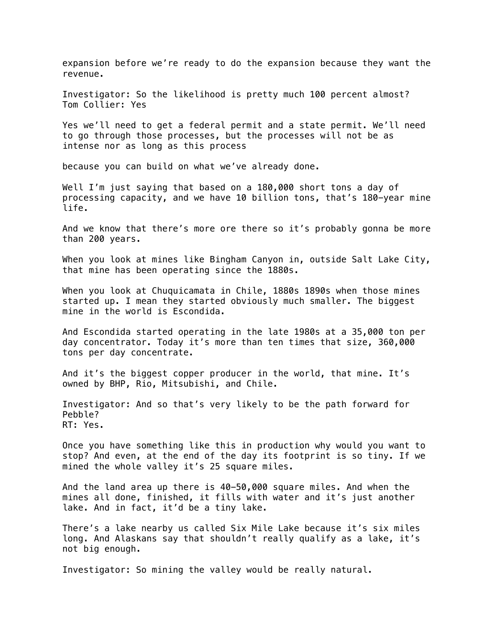expansion before we're ready to do the expansion because they want the revenue.

Investigator: So the likelihood is pretty much 100 percent almost? Tom Collier: Yes

Yes we'll need to get a federal permit and a state permit. We'll need to go through those processes, but the processes will not be as intense nor as long as this process

because you can build on what we've already done.

Well I'm just saying that based on a 180,000 short tons a day of processing capacity, and we have 10 billion tons, that's 180-year mine life.

And we know that there's more ore there so it's probably gonna be more than 200 years.

When you look at mines like Bingham Canyon in, outside Salt Lake City, that mine has been operating since the 1880s.

When you look at Chuquicamata in Chile, 1880s 1890s when those mines started up. I mean they started obviously much smaller. The biggest mine in the world is Escondida.

And Escondida started operating in the late 1980s at a 35,000 ton per day concentrator. Today it's more than ten times that size, 360,000 tons per day concentrate.

And it's the biggest copper producer in the world, that mine. It's owned by BHP, Rio, Mitsubishi, and Chile.

Investigator: And so that's very likely to be the path forward for Pebble? RT: Yes.

Once you have something like this in production why would you want to stop? And even, at the end of the day its footprint is so tiny. If we mined the whole valley it's 25 square miles.

And the land area up there is 40-50,000 square miles. And when the mines all done, finished, it fills with water and it's just another lake. And in fact, it'd be a tiny lake.

There's a lake nearby us called Six Mile Lake because it's six miles long. And Alaskans say that shouldn't really qualify as a lake, it's not big enough.

Investigator: So mining the valley would be really natural.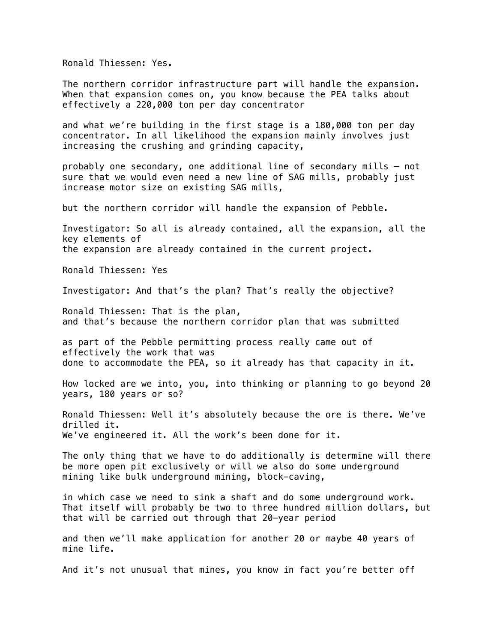Ronald Thiessen: Yes.

The northern corridor infrastructure part will handle the expansion. When that expansion comes on, you know because the PEA talks about effectively a 220,000 ton per day concentrator

and what we're building in the first stage is a 180,000 ton per day concentrator. In all likelihood the expansion mainly involves just increasing the crushing and grinding capacity,

probably one secondary, one additional line of secondary mills – not sure that we would even need a new line of SAG mills, probably just increase motor size on existing SAG mills,

but the northern corridor will handle the expansion of Pebble.

Investigator: So all is already contained, all the expansion, all the key elements of the expansion are already contained in the current project.

Ronald Thiessen: Yes

Investigator: And that's the plan? That's really the objective?

Ronald Thiessen: That is the plan, and that's because the northern corridor plan that was submitted

as part of the Pebble permitting process really came out of effectively the work that was done to accommodate the PEA, so it already has that capacity in it.

How locked are we into, you, into thinking or planning to go beyond 20 years, 180 years or so?

Ronald Thiessen: Well it's absolutely because the ore is there. We've drilled it. We've engineered it. All the work's been done for it.

The only thing that we have to do additionally is determine will there be more open pit exclusively or will we also do some underground mining like bulk underground mining, block-caving,

in which case we need to sink a shaft and do some underground work. That itself will probably be two to three hundred million dollars, but that will be carried out through that 20-year period

and then we'll make application for another 20 or maybe 40 years of mine life.

And it's not unusual that mines, you know in fact you're better off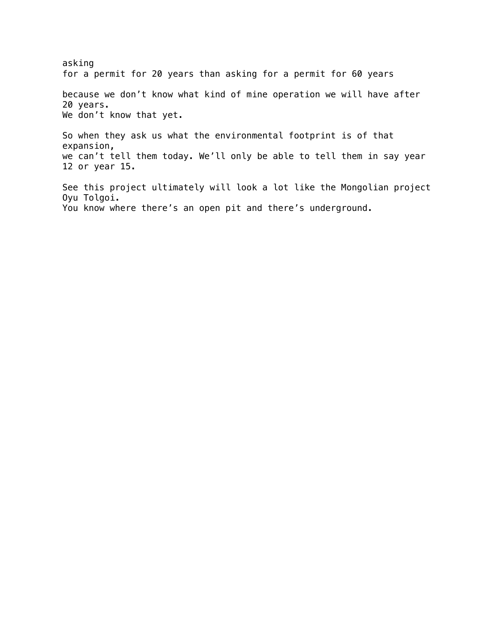asking for a permit for 20 years than asking for a permit for 60 years because we don't know what kind of mine operation we will have after 20 years. We don't know that yet. So when they ask us what the environmental footprint is of that expansion, we can't tell them today. We'll only be able to tell them in say year 12 or year 15. See this project ultimately will look a lot like the Mongolian project Oyu Tolgoi. You know where there's an open pit and there's underground.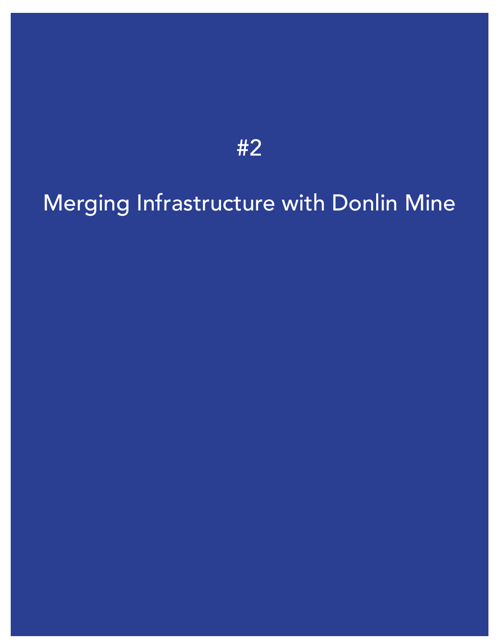### [Merging Infrastructure with Donlin Mine](https://vimeo.com/459806124)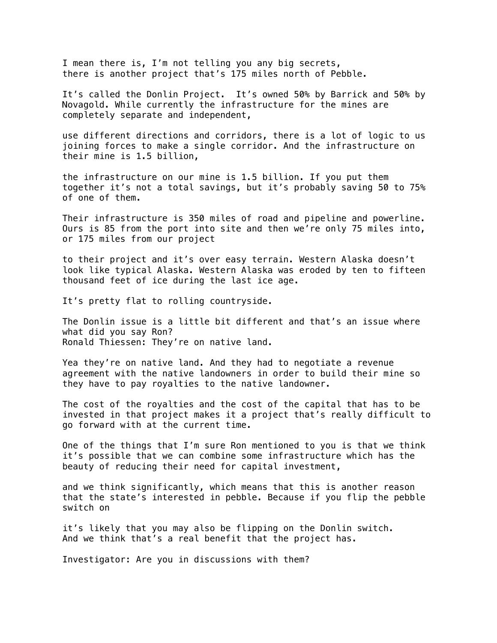I mean there is, I'm not telling you any big secrets, there is another project that's 175 miles north of Pebble.

It's called the Donlin Project. It's owned 50% by Barrick and 50% by Novagold. While currently the infrastructure for the mines are completely separate and independent,

use different directions and corridors, there is a lot of logic to us joining forces to make a single corridor. And the infrastructure on their mine is 1.5 billion,

the infrastructure on our mine is 1.5 billion. If you put them together it's not a total savings, but it's probably saving 50 to 75% of one of them.

Their infrastructure is 350 miles of road and pipeline and powerline. Ours is 85 from the port into site and then we're only 75 miles into, or 175 miles from our project

to their project and it's over easy terrain. Western Alaska doesn't look like typical Alaska. Western Alaska was eroded by ten to fifteen thousand feet of ice during the last ice age.

It's pretty flat to rolling countryside.

The Donlin issue is a little bit different and that's an issue where what did you say Ron? Ronald Thiessen: They're on native land.

Yea they're on native land. And they had to negotiate a revenue agreement with the native landowners in order to build their mine so they have to pay royalties to the native landowner.

The cost of the royalties and the cost of the capital that has to be invested in that project makes it a project that's really difficult to go forward with at the current time.

One of the things that I'm sure Ron mentioned to you is that we think it's possible that we can combine some infrastructure which has the beauty of reducing their need for capital investment,

and we think significantly, which means that this is another reason that the state's interested in pebble. Because if you flip the pebble switch on

it's likely that you may also be flipping on the Donlin switch. And we think that's a real benefit that the project has.

Investigator: Are you in discussions with them?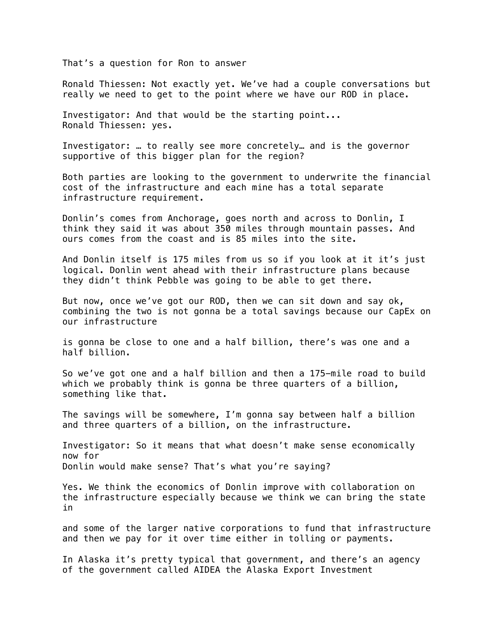That's a question for Ron to answer

Ronald Thiessen: Not exactly yet. We've had a couple conversations but really we need to get to the point where we have our ROD in place.

Investigator: And that would be the starting point... Ronald Thiessen: yes.

Investigator: … to really see more concretely… and is the governor supportive of this bigger plan for the region?

Both parties are looking to the government to underwrite the financial cost of the infrastructure and each mine has a total separate infrastructure requirement.

Donlin's comes from Anchorage, goes north and across to Donlin, I think they said it was about 350 miles through mountain passes. And ours comes from the coast and is 85 miles into the site.

And Donlin itself is 175 miles from us so if you look at it it's just logical. Donlin went ahead with their infrastructure plans because they didn't think Pebble was going to be able to get there.

But now, once we've got our ROD, then we can sit down and say ok, combining the two is not gonna be a total savings because our CapEx on our infrastructure

is gonna be close to one and a half billion, there's was one and a half billion.

So we've got one and a half billion and then a 175-mile road to build which we probably think is gonna be three quarters of a billion, something like that.

The savings will be somewhere, I'm gonna say between half a billion and three quarters of a billion, on the infrastructure.

Investigator: So it means that what doesn't make sense economically now for Donlin would make sense? That's what you're saying?

Yes. We think the economics of Donlin improve with collaboration on the infrastructure especially because we think we can bring the state in

and some of the larger native corporations to fund that infrastructure and then we pay for it over time either in tolling or payments.

In Alaska it's pretty typical that government, and there's an agency of the government called AIDEA the Alaska Export Investment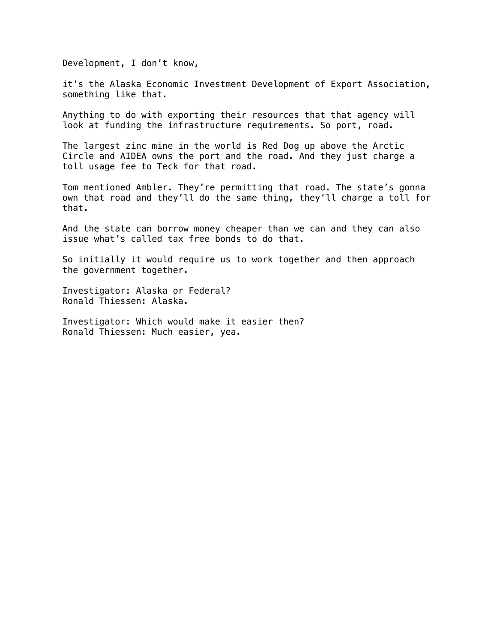Development, I don't know,

it's the Alaska Economic Investment Development of Export Association, something like that.

Anything to do with exporting their resources that that agency will look at funding the infrastructure requirements. So port, road.

The largest zinc mine in the world is Red Dog up above the Arctic Circle and AIDEA owns the port and the road. And they just charge a toll usage fee to Teck for that road.

Tom mentioned Ambler. They're permitting that road. The state's gonna own that road and they'll do the same thing, they'll charge a toll for that.

And the state can borrow money cheaper than we can and they can also issue what's called tax free bonds to do that.

So initially it would require us to work together and then approach the government together.

Investigator: Alaska or Federal? Ronald Thiessen: Alaska.

Investigator: Which would make it easier then? Ronald Thiessen: Much easier, yea.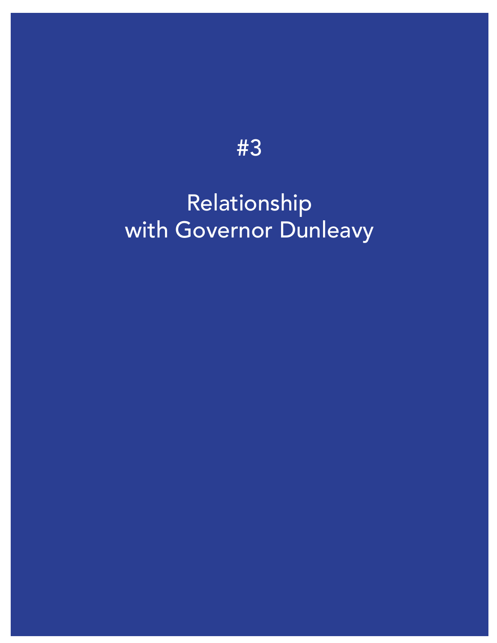### Relationship [with Governor Dunleavy](https://vimeo.com/459807032)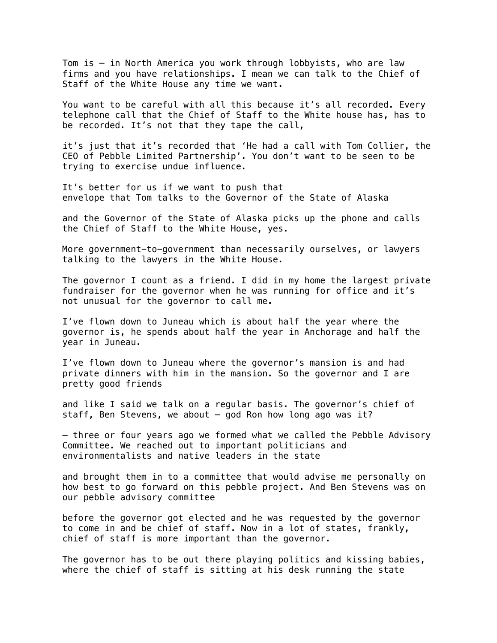Tom is – in North America you work through lobbyists, who are law firms and you have relationships. I mean we can talk to the Chief of Staff of the White House any time we want.

You want to be careful with all this because it's all recorded. Every telephone call that the Chief of Staff to the White house has, has to be recorded. It's not that they tape the call,

it's just that it's recorded that 'He had a call with Tom Collier, the CEO of Pebble Limited Partnership'. You don't want to be seen to be trying to exercise undue influence.

It's better for us if we want to push that envelope that Tom talks to the Governor of the State of Alaska

and the Governor of the State of Alaska picks up the phone and calls the Chief of Staff to the White House, yes.

More government-to-government than necessarily ourselves, or lawyers talking to the lawyers in the White House.

The governor I count as a friend. I did in my home the largest private fundraiser for the governor when he was running for office and it's not unusual for the governor to call me.

I've flown down to Juneau which is about half the year where the governor is, he spends about half the year in Anchorage and half the year in Juneau.

I've flown down to Juneau where the governor's mansion is and had private dinners with him in the mansion. So the governor and I are pretty good friends

and like I said we talk on a regular basis. The governor's chief of staff, Ben Stevens, we about – god Ron how long ago was it?

– three or four years ago we formed what we called the Pebble Advisory Committee. We reached out to important politicians and environmentalists and native leaders in the state

and brought them in to a committee that would advise me personally on how best to go forward on this pebble project. And Ben Stevens was on our pebble advisory committee

before the governor got elected and he was requested by the governor to come in and be chief of staff. Now in a lot of states, frankly, chief of staff is more important than the governor.

The governor has to be out there playing politics and kissing babies, where the chief of staff is sitting at his desk running the state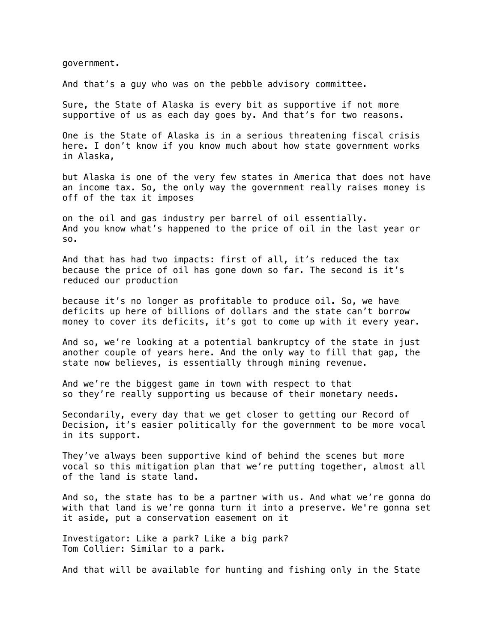government.

And that's a guy who was on the pebble advisory committee.

Sure, the State of Alaska is every bit as supportive if not more supportive of us as each day goes by. And that's for two reasons.

One is the State of Alaska is in a serious threatening fiscal crisis here. I don't know if you know much about how state government works in Alaska,

but Alaska is one of the very few states in America that does not have an income tax. So, the only way the government really raises money is off of the tax it imposes

on the oil and gas industry per barrel of oil essentially. And you know what's happened to the price of oil in the last year or so.

And that has had two impacts: first of all, it's reduced the tax because the price of oil has gone down so far. The second is it's reduced our production

because it's no longer as profitable to produce oil. So, we have deficits up here of billions of dollars and the state can't borrow money to cover its deficits, it's got to come up with it every year.

And so, we're looking at a potential bankruptcy of the state in just another couple of years here. And the only way to fill that gap, the state now believes, is essentially through mining revenue.

And we're the biggest game in town with respect to that so they're really supporting us because of their monetary needs.

Secondarily, every day that we get closer to getting our Record of Decision, it's easier politically for the government to be more vocal in its support.

They've always been supportive kind of behind the scenes but more vocal so this mitigation plan that we're putting together, almost all of the land is state land.

And so, the state has to be a partner with us. And what we're gonna do with that land is we're gonna turn it into a preserve. We're gonna set it aside, put a conservation easement on it

Investigator: Like a park? Like a big park? Tom Collier: Similar to a park.

And that will be available for hunting and fishing only in the State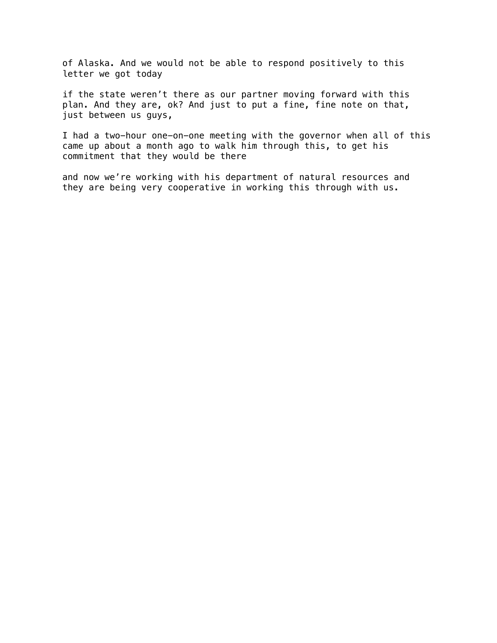of Alaska. And we would not be able to respond positively to this letter we got today

if the state weren't there as our partner moving forward with this plan. And they are, ok? And just to put a fine, fine note on that, just between us guys,

I had a two-hour one-on-one meeting with the governor when all of this came up about a month ago to walk him through this, to get his commitment that they would be there

and now we're working with his department of natural resources and they are being very cooperative in working this through with us.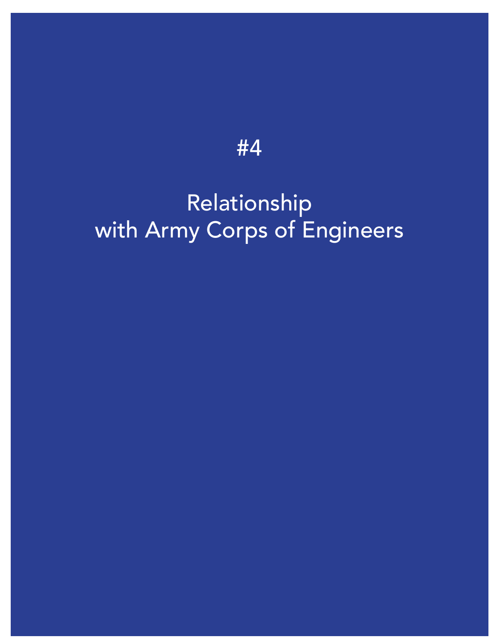### Relationship [with Army Corps of Engineers](https://vimeo.com/459809205)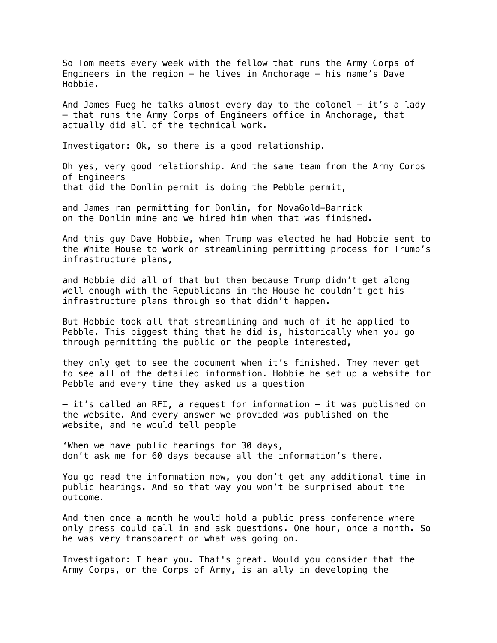So Tom meets every week with the fellow that runs the Army Corps of Engineers in the region  $-$  he lives in Anchorage  $-$  his name's Dave Hobbie.

And James Fueg he talks almost every day to the colonel – it's a lady – that runs the Army Corps of Engineers office in Anchorage, that actually did all of the technical work.

Investigator: Ok, so there is a good relationship.

Oh yes, very good relationship. And the same team from the Army Corps of Engineers that did the Donlin permit is doing the Pebble permit,

and James ran permitting for Donlin, for NovaGold-Barrick on the Donlin mine and we hired him when that was finished.

And this guy Dave Hobbie, when Trump was elected he had Hobbie sent to the White House to work on streamlining permitting process for Trump's infrastructure plans,

and Hobbie did all of that but then because Trump didn't get along well enough with the Republicans in the House he couldn't get his infrastructure plans through so that didn't happen.

But Hobbie took all that streamlining and much of it he applied to Pebble. This biggest thing that he did is, historically when you go through permitting the public or the people interested,

they only get to see the document when it's finished. They never get to see all of the detailed information. Hobbie he set up a website for Pebble and every time they asked us a question

– it's called an RFI, a request for information – it was published on the website. And every answer we provided was published on the website, and he would tell people

'When we have public hearings for 30 days, don't ask me for 60 days because all the information's there.

You go read the information now, you don't get any additional time in public hearings. And so that way you won't be surprised about the outcome.

And then once a month he would hold a public press conference where only press could call in and ask questions. One hour, once a month. So he was very transparent on what was going on.

Investigator: I hear you. That's great. Would you consider that the Army Corps, or the Corps of Army, is an ally in developing the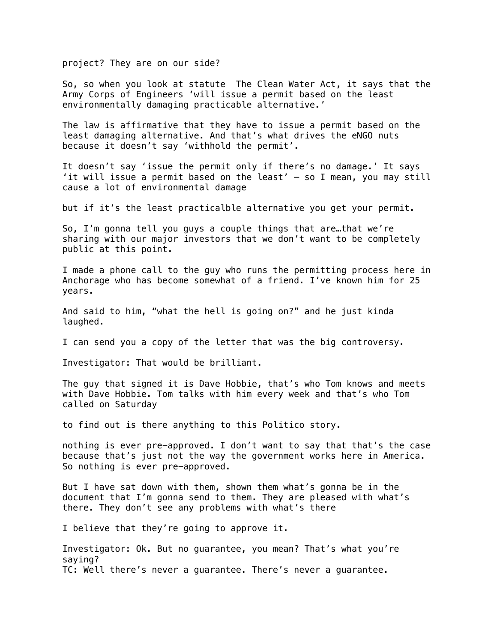project? They are on our side?

So, so when you look at statute The Clean Water Act, it says that the Army Corps of Engineers 'will issue a permit based on the least environmentally damaging practicable alternative.'

The law is affirmative that they have to issue a permit based on the least damaging alternative. And that's what drives the eNGO nuts because it doesn't say 'withhold the permit'.

It doesn't say 'issue the permit only if there's no damage.' It says 'it will issue a permit based on the least' – so I mean, you may still cause a lot of environmental damage

but if it's the least practicalble alternative you get your permit.

So, I'm gonna tell you guys a couple things that are…that we're sharing with our major investors that we don't want to be completely public at this point.

I made a phone call to the guy who runs the permitting process here in Anchorage who has become somewhat of a friend. I've known him for 25 years.

And said to him, "what the hell is going on?" and he just kinda laughed.

I can send you a copy of the letter that was the big controversy.

Investigator: That would be brilliant.

The guy that signed it is Dave Hobbie, that's who Tom knows and meets with Dave Hobbie. Tom talks with him every week and that's who Tom called on Saturday

to find out is there anything to this Politico story.

nothing is ever pre-approved. I don't want to say that that's the case because that's just not the way the government works here in America. So nothing is ever pre-approved.

But I have sat down with them, shown them what's gonna be in the document that I'm gonna send to them. They are pleased with what's there. They don't see any problems with what's there

I believe that they're going to approve it.

Investigator: Ok. But no guarantee, you mean? That's what you're saying? TC: Well there's never a guarantee. There's never a guarantee.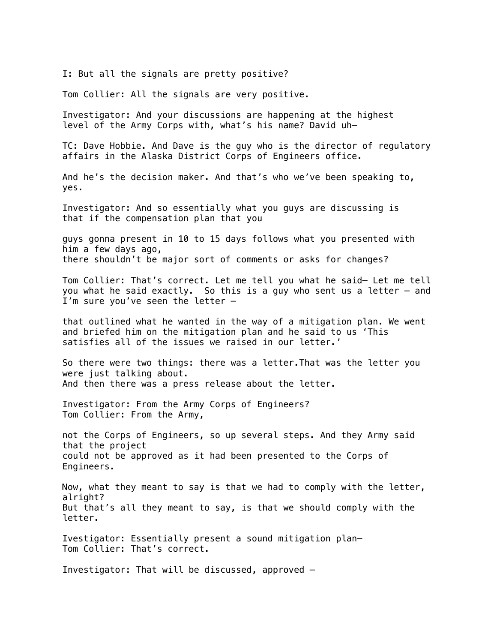I: But all the signals are pretty positive?

Tom Collier: All the signals are very positive.

Investigator: And your discussions are happening at the highest level of the Army Corps with, what's his name? David uh—

TC: Dave Hobbie. And Dave is the guy who is the director of regulatory affairs in the Alaska District Corps of Engineers office.

And he's the decision maker. And that's who we've been speaking to, yes.

Investigator: And so essentially what you guys are discussing is that if the compensation plan that you

guys gonna present in 10 to 15 days follows what you presented with him a few days ago, there shouldn't be major sort of comments or asks for changes?

Tom Collier: That's correct. Let me tell you what he said— Let me tell you what he said exactly. So this is a guy who sent us a letter – and I'm sure you've seen the letter –

that outlined what he wanted in the way of a mitigation plan. We went and briefed him on the mitigation plan and he said to us 'This satisfies all of the issues we raised in our letter.'

So there were two things: there was a letter.That was the letter you were just talking about. And then there was a press release about the letter.

Investigator: From the Army Corps of Engineers? Tom Collier: From the Army,

not the Corps of Engineers, so up several steps. And they Army said that the project could not be approved as it had been presented to the Corps of Engineers.

Now, what they meant to say is that we had to comply with the letter, alright? But that's all they meant to say, is that we should comply with the letter.

Ivestigator: Essentially present a sound mitigation plan— Tom Collier: That's correct.

Investigator: That will be discussed, approved –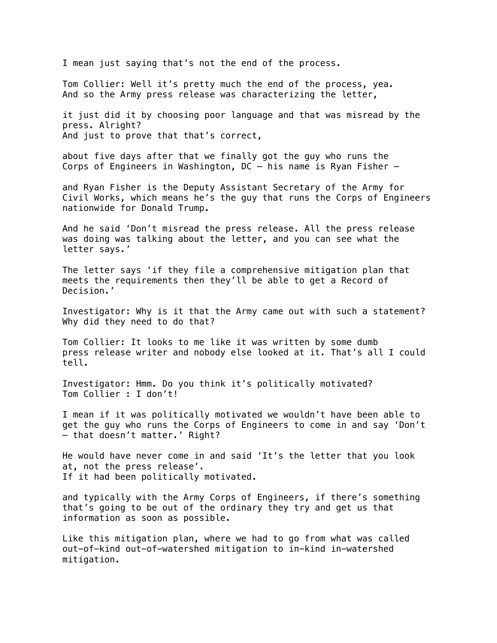I mean just saying that's not the end of the process.

Tom Collier: Well it's pretty much the end of the process, yea. And so the Army press release was characterizing the letter,

it just did it by choosing poor language and that was misread by the press. Alright? And just to prove that that's correct,

about five days after that we finally got the guy who runs the Corps of Engineers in Washington, DC – his name is Ryan Fisher –

and Ryan Fisher is the Deputy Assistant Secretary of the Army for Civil Works, which means he's the guy that runs the Corps of Engineers nationwide for Donald Trump.

And he said 'Don't misread the press release. All the press release was doing was talking about the letter, and you can see what the letter says.'

The letter says 'if they file a comprehensive mitigation plan that meets the requirements then they'll be able to get a Record of Decision.'

Investigator: Why is it that the Army came out with such a statement? Why did they need to do that?

Tom Collier: It looks to me like it was written by some dumb press release writer and nobody else looked at it. That's all I could tell.

Investigator: Hmm. Do you think it's politically motivated? Tom Collier : I don't!

I mean if it was politically motivated we wouldn't have been able to get the guy who runs the Corps of Engineers to come in and say 'Don't – that doesn't matter.' Right?

He would have never come in and said 'It's the letter that you look at, not the press release'. If it had been politically motivated.

and typically with the Army Corps of Engineers, if there's something that's going to be out of the ordinary they try and get us that information as soon as possible.

Like this mitigation plan, where we had to go from what was called out-of-kind out-of-watershed mitigation to in-kind in-watershed mitigation.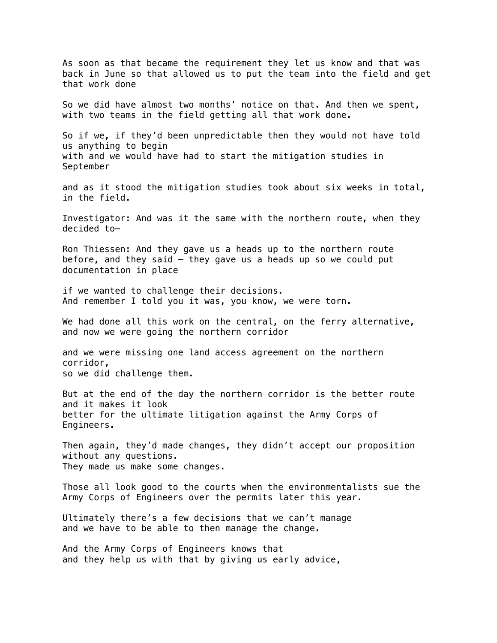As soon as that became the requirement they let us know and that was back in June so that allowed us to put the team into the field and get that work done So we did have almost two months' notice on that. And then we spent, with two teams in the field getting all that work done. So if we, if they'd been unpredictable then they would not have told us anything to begin with and we would have had to start the mitigation studies in September and as it stood the mitigation studies took about six weeks in total, in the field. Investigator: And was it the same with the northern route, when they decided to— Ron Thiessen: And they gave us a heads up to the northern route before, and they said  $-$  they gave us a heads up so we could put documentation in place if we wanted to challenge their decisions. And remember I told you it was, you know, we were torn. We had done all this work on the central, on the ferry alternative, and now we were going the northern corridor and we were missing one land access agreement on the northern corridor, so we did challenge them. But at the end of the day the northern corridor is the better route and it makes it look better for the ultimate litigation against the Army Corps of Engineers. Then again, they'd made changes, they didn't accept our proposition without any questions. They made us make some changes. Those all look good to the courts when the environmentalists sue the Army Corps of Engineers over the permits later this year. Ultimately there's a few decisions that we can't manage and we have to be able to then manage the change. And the Army Corps of Engineers knows that and they help us with that by giving us early advice,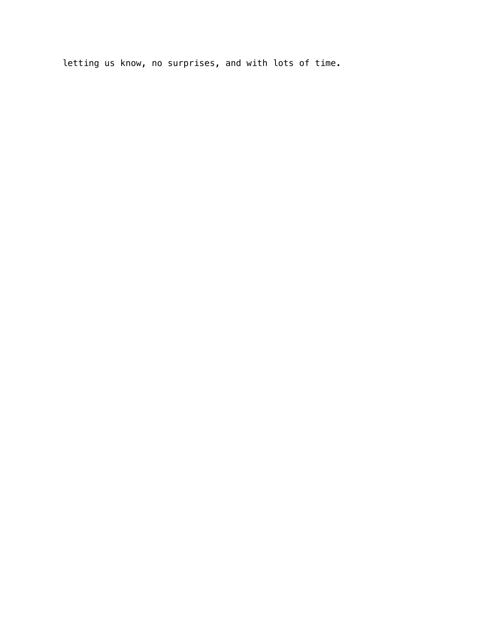letting us know, no surprises, and with lots of time.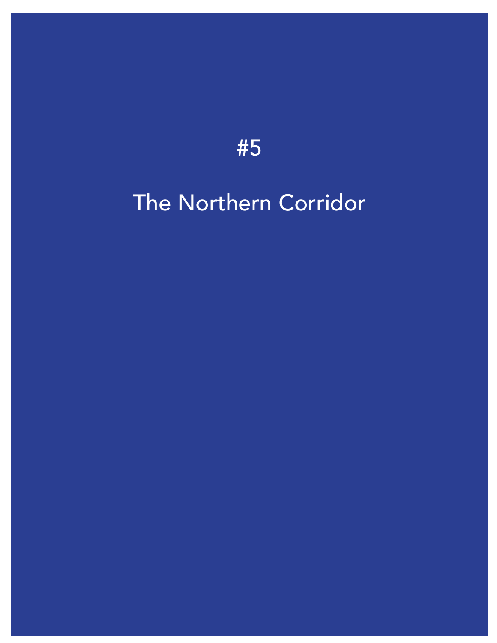### [The Northern Corridor](https://vimeo.com/459811707)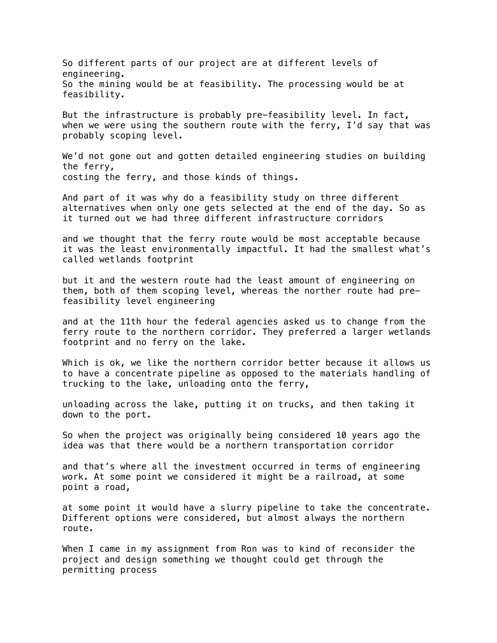So different parts of our project are at different levels of engineering. So the mining would be at feasibility. The processing would be at feasibility.

But the infrastructure is probably pre-feasibility level. In fact, when we were using the southern route with the ferry, I'd say that was probably scoping level.

We'd not gone out and gotten detailed engineering studies on building the ferry, costing the ferry, and those kinds of things.

And part of it was why do a feasibility study on three different alternatives when only one gets selected at the end of the day. So as it turned out we had three different infrastructure corridors

and we thought that the ferry route would be most acceptable because it was the least environmentally impactful. It had the smallest what's called wetlands footprint

but it and the western route had the least amount of engineering on them, both of them scoping level, whereas the norther route had prefeasibility level engineering

and at the 11th hour the federal agencies asked us to change from the ferry route to the northern corridor. They preferred a larger wetlands footprint and no ferry on the lake.

Which is ok, we like the northern corridor better because it allows us to have a concentrate pipeline as opposed to the materials handling of trucking to the lake, unloading onto the ferry,

unloading across the lake, putting it on trucks, and then taking it down to the port.

So when the project was originally being considered 10 years ago the idea was that there would be a northern transportation corridor

and that's where all the investment occurred in terms of engineering work. At some point we considered it might be a railroad, at some point a road,

at some point it would have a slurry pipeline to take the concentrate. Different options were considered, but almost always the northern route.

When I came in my assignment from Ron was to kind of reconsider the project and design something we thought could get through the permitting process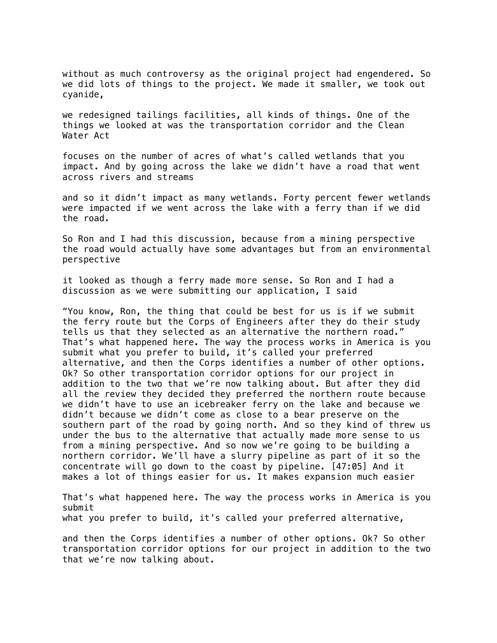without as much controversy as the original project had engendered. So we did lots of things to the project. We made it smaller, we took out cyanide,

we redesigned tailings facilities, all kinds of things. One of the things we looked at was the transportation corridor and the Clean Water Act

focuses on the number of acres of what's called wetlands that you impact. And by going across the lake we didn't have a road that went across rivers and streams

and so it didn't impact as many wetlands. Forty percent fewer wetlands were impacted if we went across the lake with a ferry than if we did the road.

So Ron and I had this discussion, because from a mining perspective the road would actually have some advantages but from an environmental perspective

it looked as though a ferry made more sense. So Ron and I had a discussion as we were submitting our application, I said

"You know, Ron, the thing that could be best for us is if we submit the ferry route but the Corps of Engineers after they do their study tells us that they selected as an alternative the northern road." That's what happened here. The way the process works in America is you submit what you prefer to build, it's called your preferred alternative, and then the Corps identifies a number of other options. Ok? So other transportation corridor options for our project in addition to the two that we're now talking about. But after they did all the review they decided they preferred the northern route because we didn't have to use an icebreaker ferry on the lake and because we didn't because we didn't come as close to a bear preserve on the southern part of the road by going north. And so they kind of threw us under the bus to the alternative that actually made more sense to us from a mining perspective. And so now we're going to be building a northern corridor. We'll have a slurry pipeline as part of it so the concentrate will go down to the coast by pipeline. [47:05] And it makes a lot of things easier for us. It makes expansion much easier

That's what happened here. The way the process works in America is you submit what you prefer to build, it's called your preferred alternative,

and then the Corps identifies a number of other options. Ok? So other transportation corridor options for our project in addition to the two that we're now talking about.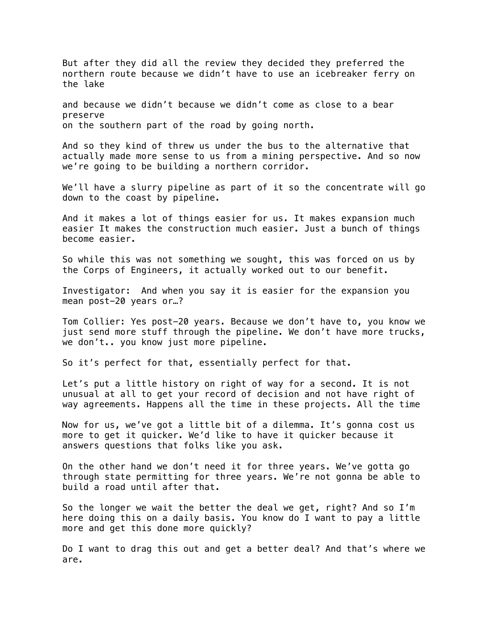But after they did all the review they decided they preferred the northern route because we didn't have to use an icebreaker ferry on the lake

and because we didn't because we didn't come as close to a bear preserve on the southern part of the road by going north.

And so they kind of threw us under the bus to the alternative that actually made more sense to us from a mining perspective. And so now we're going to be building a northern corridor.

We'll have a slurry pipeline as part of it so the concentrate will go down to the coast by pipeline.

And it makes a lot of things easier for us. It makes expansion much easier It makes the construction much easier. Just a bunch of things become easier.

So while this was not something we sought, this was forced on us by the Corps of Engineers, it actually worked out to our benefit.

Investigator: And when you say it is easier for the expansion you mean post-20 years or…?

Tom Collier: Yes post-20 years. Because we don't have to, you know we just send more stuff through the pipeline. We don't have more trucks, we don't.. you know just more pipeline.

So it's perfect for that, essentially perfect for that.

Let's put a little history on right of way for a second. It is not unusual at all to get your record of decision and not have right of way agreements. Happens all the time in these projects. All the time

Now for us, we've got a little bit of a dilemma. It's gonna cost us more to get it quicker. We'd like to have it quicker because it answers questions that folks like you ask.

On the other hand we don't need it for three years. We've gotta go through state permitting for three years. We're not gonna be able to build a road until after that.

So the longer we wait the better the deal we get, right? And so I'm here doing this on a daily basis. You know do I want to pay a little more and get this done more quickly?

Do I want to drag this out and get a better deal? And that's where we are.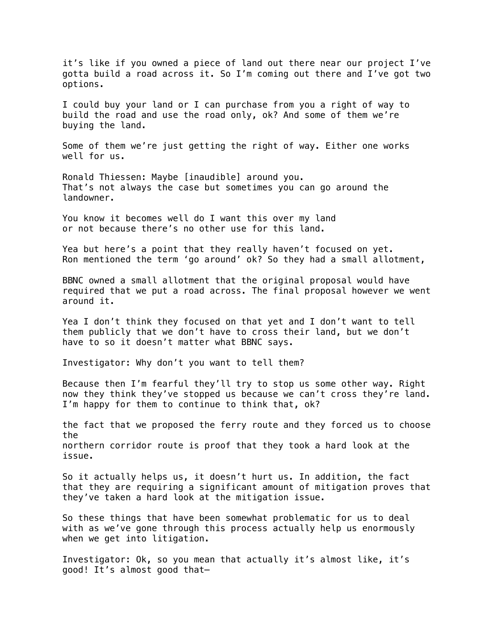it's like if you owned a piece of land out there near our project I've gotta build a road across it. So I'm coming out there and I've got two options.

I could buy your land or I can purchase from you a right of way to build the road and use the road only, ok? And some of them we're buying the land.

Some of them we're just getting the right of way. Either one works well for us.

Ronald Thiessen: Maybe [inaudible] around you. That's not always the case but sometimes you can go around the landowner.

You know it becomes well do I want this over my land or not because there's no other use for this land.

Yea but here's a point that they really haven't focused on yet. Ron mentioned the term 'go around' ok? So they had a small allotment,

BBNC owned a small allotment that the original proposal would have required that we put a road across. The final proposal however we went around it.

Yea I don't think they focused on that yet and I don't want to tell them publicly that we don't have to cross their land, but we don't have to so it doesn't matter what BBNC says.

Investigator: Why don't you want to tell them?

Because then I'm fearful they'll try to stop us some other way. Right now they think they've stopped us because we can't cross they're land. I'm happy for them to continue to think that, ok?

the fact that we proposed the ferry route and they forced us to choose the northern corridor route is proof that they took a hard look at the issue.

So it actually helps us, it doesn't hurt us. In addition, the fact that they are requiring a significant amount of mitigation proves that they've taken a hard look at the mitigation issue.

So these things that have been somewhat problematic for us to deal with as we've gone through this process actually help us enormously when we get into litigation.

Investigator: Ok, so you mean that actually it's almost like, it's good! It's almost good that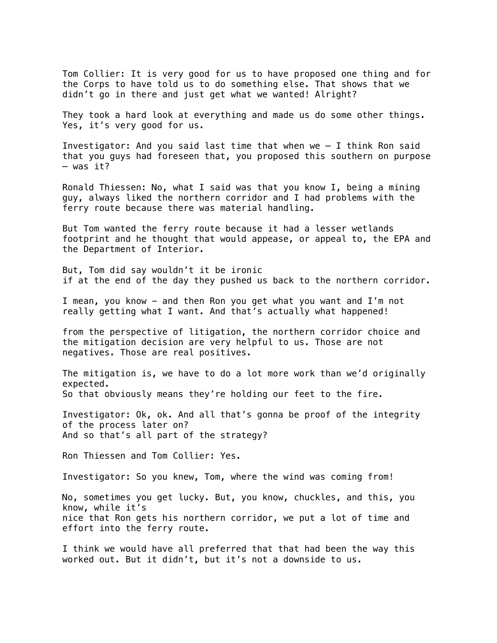Tom Collier: It is very good for us to have proposed one thing and for the Corps to have told us to do something else. That shows that we didn't go in there and just get what we wanted! Alright?

They took a hard look at everything and made us do some other things. Yes, it's very good for us.

Investigator: And you said last time that when we – I think Ron said that you guys had foreseen that, you proposed this southern on purpose – was it?

Ronald Thiessen: No, what I said was that you know I, being a mining guy, always liked the northern corridor and I had problems with the ferry route because there was material handling.

But Tom wanted the ferry route because it had a lesser wetlands footprint and he thought that would appease, or appeal to, the EPA and the Department of Interior.

But, Tom did say wouldn't it be ironic if at the end of the day they pushed us back to the northern corridor.

I mean, you know - and then Ron you get what you want and I'm not really getting what I want. And that's actually what happened!

from the perspective of litigation, the northern corridor choice and the mitigation decision are very helpful to us. Those are not negatives. Those are real positives.

The mitigation is, we have to do a lot more work than we'd originally expected. So that obviously means they're holding our feet to the fire.

Investigator: Ok, ok. And all that's gonna be proof of the integrity of the process later on? And so that's all part of the strategy?

Ron Thiessen and Tom Collier: Yes.

Investigator: So you knew, Tom, where the wind was coming from!

No, sometimes you get lucky. But, you know, chuckles, and this, you know, while it's nice that Ron gets his northern corridor, we put a lot of time and effort into the ferry route.

I think we would have all preferred that that had been the way this worked out. But it didn't, but it's not a downside to us.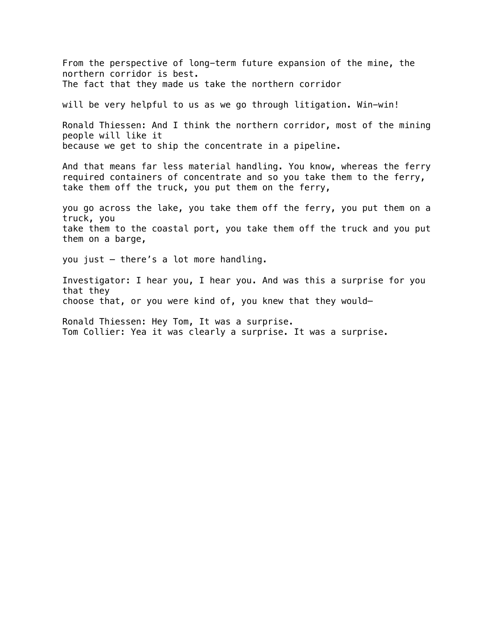From the perspective of long-term future expansion of the mine, the northern corridor is best. The fact that they made us take the northern corridor will be very helpful to us as we go through litigation. Win-win! Ronald Thiessen: And I think the northern corridor, most of the mining people will like it because we get to ship the concentrate in a pipeline. And that means far less material handling. You know, whereas the ferry required containers of concentrate and so you take them to the ferry, take them off the truck, you put them on the ferry, you go across the lake, you take them off the ferry, you put them on a truck, you take them to the coastal port, you take them off the truck and you put them on a barge, you just – there's a lot more handling. Investigator: I hear you, I hear you. And was this a surprise for you that they choose that, or you were kind of, you knew that they would— Ronald Thiessen: Hey Tom, It was a surprise. Tom Collier: Yea it was clearly a surprise. It was a surprise.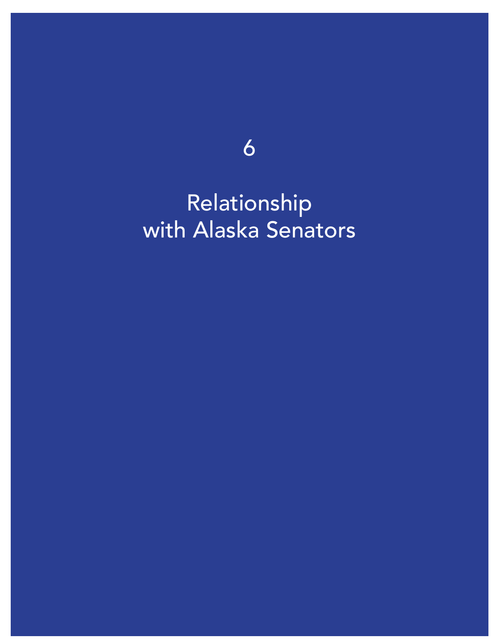6

Relationship [with Alaska Senators](https://vimeo.com/459810896)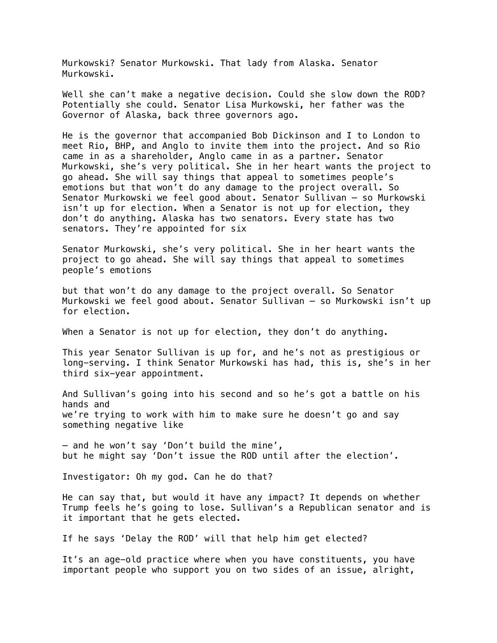Murkowski? Senator Murkowski. That lady from Alaska. Senator Murkowski.

Well she can't make a negative decision. Could she slow down the ROD? Potentially she could. Senator Lisa Murkowski, her father was the Governor of Alaska, back three governors ago.

He is the governor that accompanied Bob Dickinson and I to London to meet Rio, BHP, and Anglo to invite them into the project. And so Rio came in as a shareholder, Anglo came in as a partner. Senator Murkowski, she's very political. She in her heart wants the project to go ahead. She will say things that appeal to sometimes people's emotions but that won't do any damage to the project overall. So Senator Murkowski we feel good about. Senator Sullivan – so Murkowski isn't up for election. When a Senator is not up for election, they don't do anything. Alaska has two senators. Every state has two senators. They're appointed for six

Senator Murkowski, she's very political. She in her heart wants the project to go ahead. She will say things that appeal to sometimes people's emotions

but that won't do any damage to the project overall. So Senator Murkowski we feel good about. Senator Sullivan – so Murkowski isn't up for election.

When a Senator is not up for election, they don't do anything.

This year Senator Sullivan is up for, and he's not as prestigious or long-serving. I think Senator Murkowski has had, this is, she's in her third six-year appointment.

And Sullivan's going into his second and so he's got a battle on his hands and we're trying to work with him to make sure he doesn't go and say something negative like

– and he won't say 'Don't build the mine', but he might say 'Don't issue the ROD until after the election'.

Investigator: Oh my god. Can he do that?

He can say that, but would it have any impact? It depends on whether Trump feels he's going to lose. Sullivan's a Republican senator and is it important that he gets elected.

If he says 'Delay the ROD' will that help him get elected?

It's an age-old practice where when you have constituents, you have important people who support you on two sides of an issue, alright,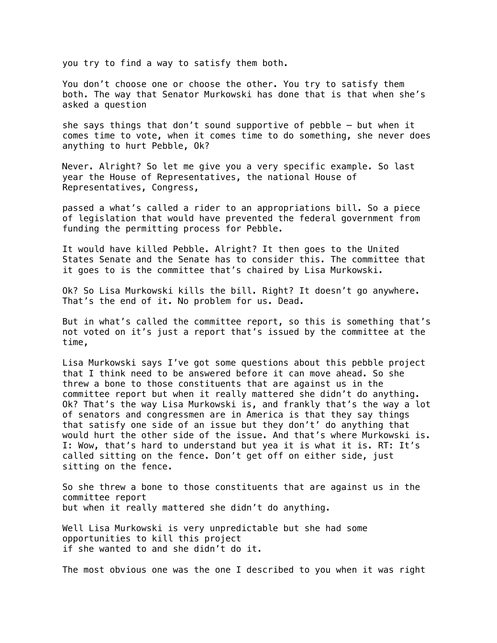you try to find a way to satisfy them both.

You don't choose one or choose the other. You try to satisfy them both. The way that Senator Murkowski has done that is that when she's asked a question

she says things that don't sound supportive of pebble – but when it comes time to vote, when it comes time to do something, she never does anything to hurt Pebble, Ok?

Never. Alright? So let me give you a very specific example. So last year the House of Representatives, the national House of Representatives, Congress,

passed a what's called a rider to an appropriations bill. So a piece of legislation that would have prevented the federal government from funding the permitting process for Pebble.

It would have killed Pebble. Alright? It then goes to the United States Senate and the Senate has to consider this. The committee that it goes to is the committee that's chaired by Lisa Murkowski.

Ok? So Lisa Murkowski kills the bill. Right? It doesn't go anywhere. That's the end of it. No problem for us. Dead.

But in what's called the committee report, so this is something that's not voted on it's just a report that's issued by the committee at the time,

Lisa Murkowski says I've got some questions about this pebble project that I think need to be answered before it can move ahead. So she threw a bone to those constituents that are against us in the committee report but when it really mattered she didn't do anything. Ok? That's the way Lisa Murkowski is, and frankly that's the way a lot of senators and congressmen are in America is that they say things that satisfy one side of an issue but they don't' do anything that would hurt the other side of the issue. And that's where Murkowski is. I: Wow, that's hard to understand but yea it is what it is. RT: It's called sitting on the fence. Don't get off on either side, just sitting on the fence.

So she threw a bone to those constituents that are against us in the committee report but when it really mattered she didn't do anything.

Well Lisa Murkowski is very unpredictable but she had some opportunities to kill this project if she wanted to and she didn't do it.

The most obvious one was the one I described to you when it was right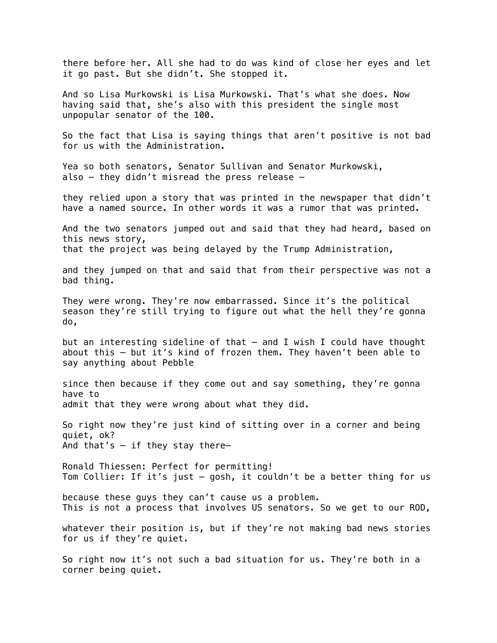there before her. All she had to do was kind of close her eyes and let it go past. But she didn't. She stopped it.

And so Lisa Murkowski is Lisa Murkowski. That's what she does. Now having said that, she's also with this president the single most unpopular senator of the 100.

So the fact that Lisa is saying things that aren't positive is not bad for us with the Administration.

Yea so both senators, Senator Sullivan and Senator Murkowski, also – they didn't misread the press release –

they relied upon a story that was printed in the newspaper that didn't have a named source. In other words it was a rumor that was printed.

And the two senators jumped out and said that they had heard, based on this news story, that the project was being delayed by the Trump Administration,

and they jumped on that and said that from their perspective was not a bad thing.

They were wrong. They're now embarrassed. Since it's the political season they're still trying to figure out what the hell they're gonna do,

but an interesting sideline of that – and I wish I could have thought about this – but it's kind of frozen them. They haven't been able to say anything about Pebble

since then because if they come out and say something, they're gonna have to admit that they were wrong about what they did.

So right now they're just kind of sitting over in a corner and being quiet, ok? And that's  $-$  if they stay there-

Ronald Thiessen: Perfect for permitting! Tom Collier: If it's just – gosh, it couldn't be a better thing for us

because these guys they can't cause us a problem. This is not a process that involves US senators. So we get to our ROD,

whatever their position is, but if they're not making bad news stories for us if they're quiet.

So right now it's not such a bad situation for us. They're both in a corner being quiet.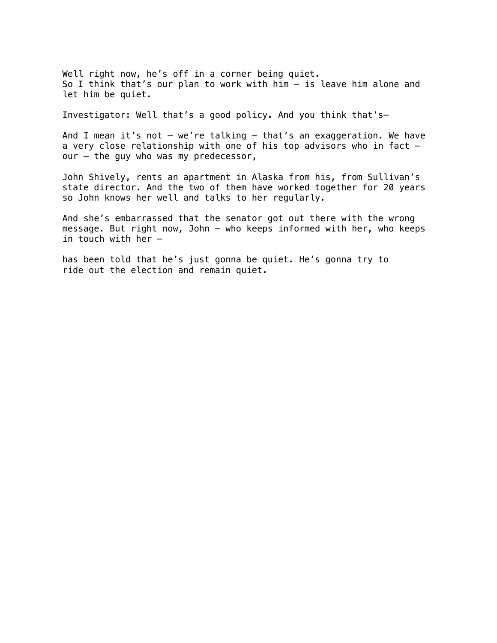Well right now, he's off in a corner being quiet. So I think that's our plan to work with him – is leave him alone and let him be quiet.

Investigator: Well that's a good policy. And you think that's—

And I mean it's not – we're talking – that's an exaggeration. We have a very close relationship with one of his top advisors who in fact – our – the guy who was my predecessor,

John Shively, rents an apartment in Alaska from his, from Sullivan's state director. And the two of them have worked together for 20 years so John knows her well and talks to her regularly.

And she's embarrassed that the senator got out there with the wrong message. But right now, John – who keeps informed with her, who keeps in touch with her –

has been told that he's just gonna be quiet. He's gonna try to ride out the election and remain quiet.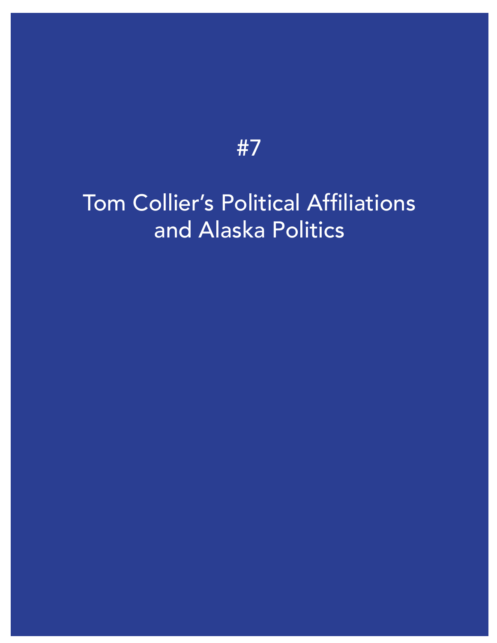#### [Tom Collier's Political Affiliations](https://vimeo.com/459816333) and Alaska Politics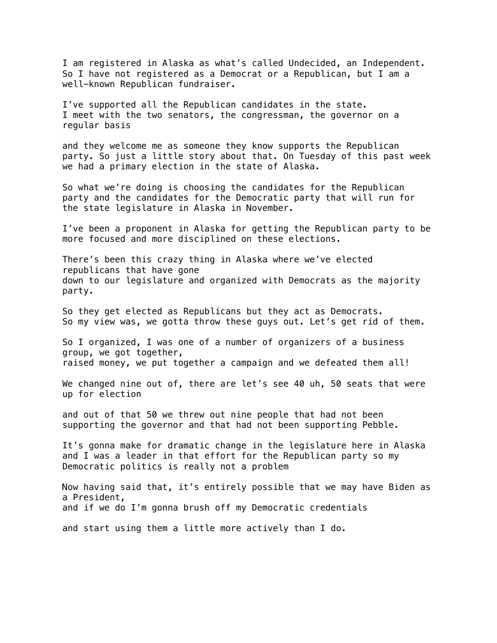I am registered in Alaska as what's called Undecided, an Independent. So I have not registered as a Democrat or a Republican, but I am a well-known Republican fundraiser.

I've supported all the Republican candidates in the state. I meet with the two senators, the congressman, the governor on a regular basis

and they welcome me as someone they know supports the Republican party. So just a little story about that. On Tuesday of this past week we had a primary election in the state of Alaska.

So what we're doing is choosing the candidates for the Republican party and the candidates for the Democratic party that will run for the state legislature in Alaska in November.

I've been a proponent in Alaska for getting the Republican party to be more focused and more disciplined on these elections.

There's been this crazy thing in Alaska where we've elected republicans that have gone down to our legislature and organized with Democrats as the majority party.

So they get elected as Republicans but they act as Democrats. So my view was, we gotta throw these guys out. Let's get rid of them.

So I organized, I was one of a number of organizers of a business group, we got together, raised money, we put together a campaign and we defeated them all!

We changed nine out of, there are let's see 40 uh, 50 seats that were up for election

and out of that 50 we threw out nine people that had not been supporting the governor and that had not been supporting Pebble.

It's gonna make for dramatic change in the legislature here in Alaska and I was a leader in that effort for the Republican party so my Democratic politics is really not a problem

Now having said that, it's entirely possible that we may have Biden as a President, and if we do I'm gonna brush off my Democratic credentials

and start using them a little more actively than I do.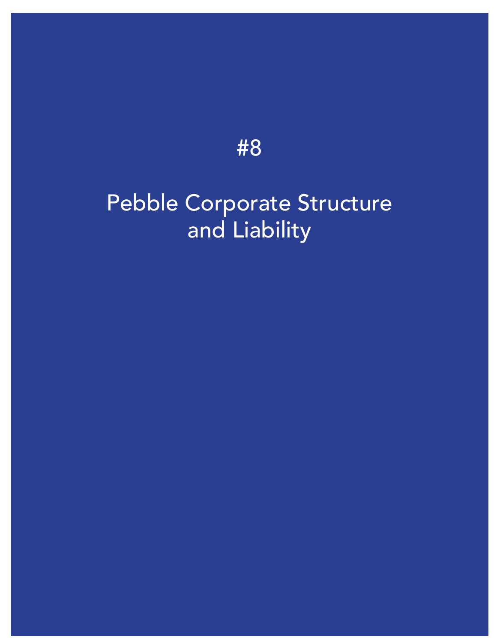### [Pebble Corporate Structure](https://vimeo.com/459815944) and Liability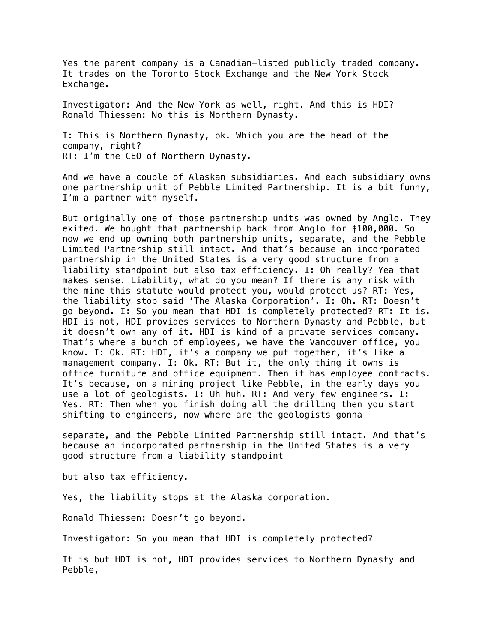Yes the parent company is a Canadian-listed publicly traded company. It trades on the Toronto Stock Exchange and the New York Stock Exchange.

Investigator: And the New York as well, right. And this is HDI? Ronald Thiessen: No this is Northern Dynasty.

I: This is Northern Dynasty, ok. Which you are the head of the company, right? RT: I'm the CEO of Northern Dynasty.

And we have a couple of Alaskan subsidiaries. And each subsidiary owns one partnership unit of Pebble Limited Partnership. It is a bit funny, I'm a partner with myself.

But originally one of those partnership units was owned by Anglo. They exited. We bought that partnership back from Anglo for \$100,000. So now we end up owning both partnership units, separate, and the Pebble Limited Partnership still intact. And that's because an incorporated partnership in the United States is a very good structure from a liability standpoint but also tax efficiency. I: Oh really? Yea that makes sense. Liability, what do you mean? If there is any risk with the mine this statute would protect you, would protect us? RT: Yes, the liability stop said 'The Alaska Corporation'. I: Oh. RT: Doesn't go beyond. I: So you mean that HDI is completely protected? RT: It is. HDI is not, HDI provides services to Northern Dynasty and Pebble, but it doesn't own any of it. HDI is kind of a private services company. That's where a bunch of employees, we have the Vancouver office, you know. I: Ok. RT: HDI, it's a company we put together, it's like a management company. I: Ok. RT: But it, the only thing it owns is office furniture and office equipment. Then it has employee contracts. It's because, on a mining project like Pebble, in the early days you use a lot of geologists. I: Uh huh. RT: And very few engineers. I: Yes. RT: Then when you finish doing all the drilling then you start shifting to engineers, now where are the geologists gonna

separate, and the Pebble Limited Partnership still intact. And that's because an incorporated partnership in the United States is a very good structure from a liability standpoint

but also tax efficiency.

Yes, the liability stops at the Alaska corporation.

Ronald Thiessen: Doesn't go beyond.

Investigator: So you mean that HDI is completely protected?

It is but HDI is not, HDI provides services to Northern Dynasty and Pebble,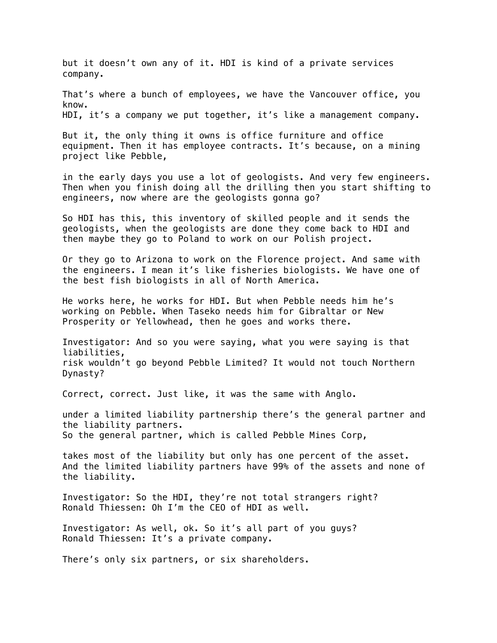but it doesn't own any of it. HDI is kind of a private services company.

That's where a bunch of employees, we have the Vancouver office, you know. HDI, it's a company we put together, it's like a management company.

But it, the only thing it owns is office furniture and office equipment. Then it has employee contracts. It's because, on a mining project like Pebble,

in the early days you use a lot of geologists. And very few engineers. Then when you finish doing all the drilling then you start shifting to engineers, now where are the geologists gonna go?

So HDI has this, this inventory of skilled people and it sends the geologists, when the geologists are done they come back to HDI and then maybe they go to Poland to work on our Polish project.

Or they go to Arizona to work on the Florence project. And same with the engineers. I mean it's like fisheries biologists. We have one of the best fish biologists in all of North America.

He works here, he works for HDI. But when Pebble needs him he's working on Pebble. When Taseko needs him for Gibraltar or New Prosperity or Yellowhead, then he goes and works there.

Investigator: And so you were saying, what you were saying is that liabilities, risk wouldn't go beyond Pebble Limited? It would not touch Northern Dynasty?

Correct, correct. Just like, it was the same with Anglo.

under a limited liability partnership there's the general partner and the liability partners. So the general partner, which is called Pebble Mines Corp,

takes most of the liability but only has one percent of the asset. And the limited liability partners have 99% of the assets and none of the liability.

Investigator: So the HDI, they're not total strangers right? Ronald Thiessen: Oh I'm the CEO of HDI as well.

Investigator: As well, ok. So it's all part of you guys? Ronald Thiessen: It's a private company.

There's only six partners, or six shareholders.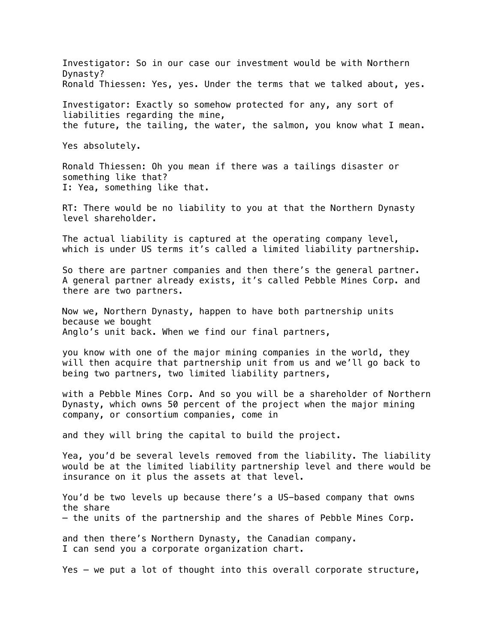Investigator: So in our case our investment would be with Northern Dynasty? Ronald Thiessen: Yes, yes. Under the terms that we talked about, yes.

Investigator: Exactly so somehow protected for any, any sort of liabilities regarding the mine, the future, the tailing, the water, the salmon, you know what I mean.

Yes absolutely.

Ronald Thiessen: Oh you mean if there was a tailings disaster or something like that? I: Yea, something like that.

RT: There would be no liability to you at that the Northern Dynasty level shareholder.

The actual liability is captured at the operating company level, which is under US terms it's called a limited liability partnership.

So there are partner companies and then there's the general partner. A general partner already exists, it's called Pebble Mines Corp. and there are two partners.

Now we, Northern Dynasty, happen to have both partnership units because we bought Anglo's unit back. When we find our final partners,

you know with one of the major mining companies in the world, they will then acquire that partnership unit from us and we'll go back to being two partners, two limited liability partners,

with a Pebble Mines Corp. And so you will be a shareholder of Northern Dynasty, which owns 50 percent of the project when the major mining company, or consortium companies, come in

and they will bring the capital to build the project.

Yea, you'd be several levels removed from the liability. The liability would be at the limited liability partnership level and there would be insurance on it plus the assets at that level.

You'd be two levels up because there's a US-based company that owns the share – the units of the partnership and the shares of Pebble Mines Corp.

and then there's Northern Dynasty, the Canadian company. I can send you a corporate organization chart.

Yes – we put a lot of thought into this overall corporate structure,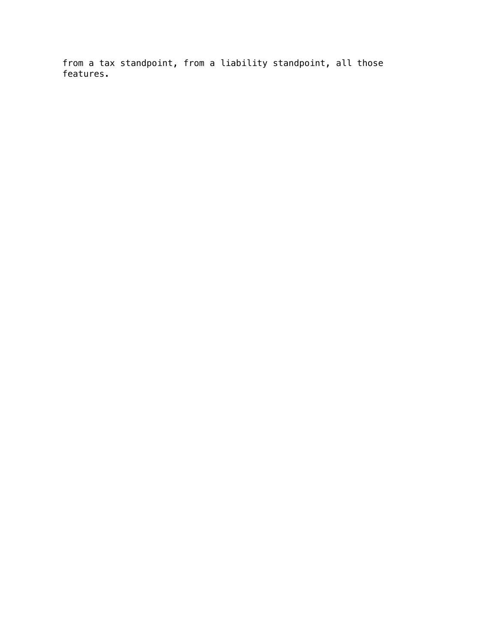from a tax standpoint, from a liability standpoint, all those features.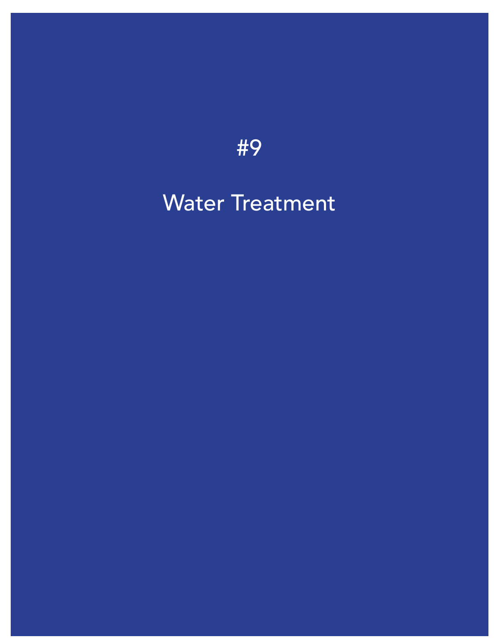#### [Water Treatment](https://vimeo.com/459815766)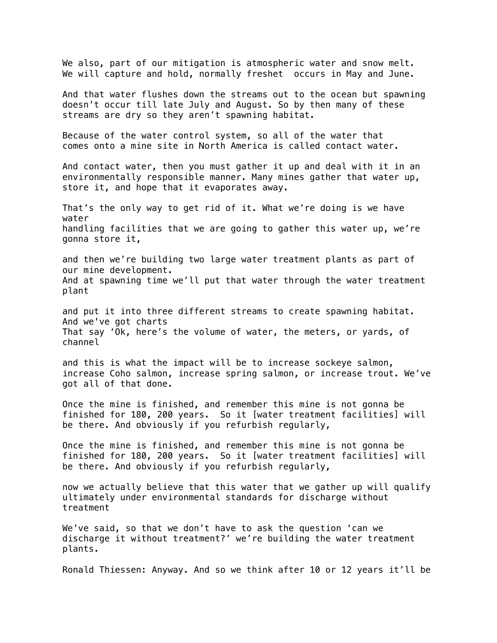We also, part of our mitigation is atmospheric water and snow melt. We will capture and hold, normally freshet occurs in May and June. And that water flushes down the streams out to the ocean but spawning doesn't occur till late July and August. So by then many of these streams are dry so they aren't spawning habitat. Because of the water control system, so all of the water that comes onto a mine site in North America is called contact water. And contact water, then you must gather it up and deal with it in an environmentally responsible manner. Many mines gather that water up, store it, and hope that it evaporates away. That's the only way to get rid of it. What we're doing is we have water handling facilities that we are going to gather this water up, we're gonna store it, and then we're building two large water treatment plants as part of our mine development. And at spawning time we'll put that water through the water treatment plant and put it into three different streams to create spawning habitat. And we've got charts That say 'Ok, here's the volume of water, the meters, or yards, of channel and this is what the impact will be to increase sockeye salmon, increase Coho salmon, increase spring salmon, or increase trout. We've got all of that done. Once the mine is finished, and remember this mine is not gonna be finished for 180, 200 years. So it [water treatment facilities] will be there. And obviously if you refurbish regularly, Once the mine is finished, and remember this mine is not gonna be finished for 180, 200 years. So it [water treatment facilities] will be there. And obviously if you refurbish regularly, now we actually believe that this water that we gather up will qualify ultimately under environmental standards for discharge without treatment We've said, so that we don't have to ask the question 'can we discharge it without treatment?' we're building the water treatment plants. Ronald Thiessen: Anyway. And so we think after 10 or 12 years it'll be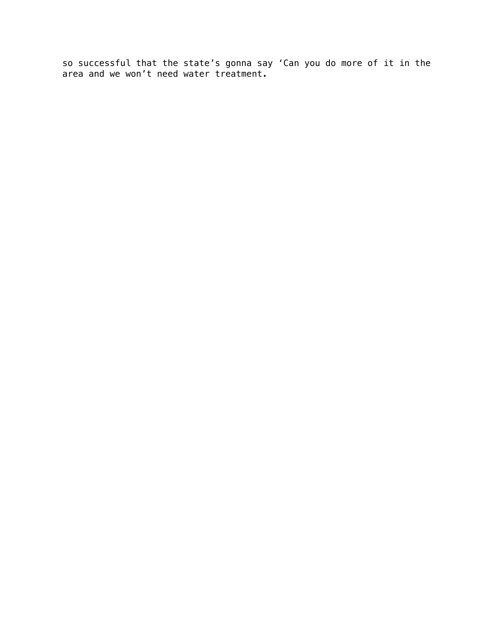so successful that the state's gonna say 'Can you do more of it in the area and we won't need water treatment.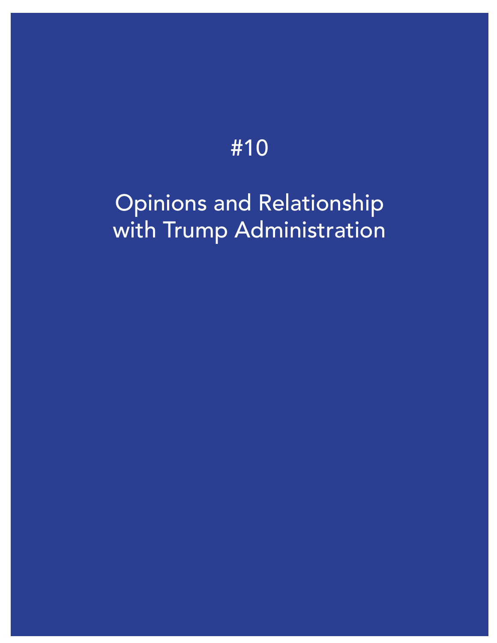#### Opinions and Relationship [with Trump Administration](https://vimeo.com/459815598)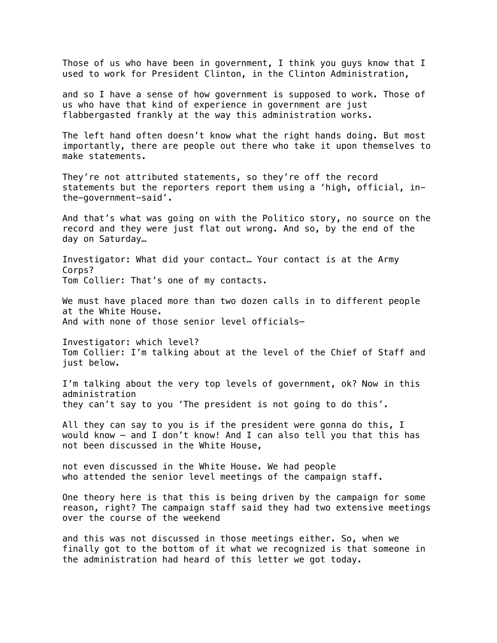Those of us who have been in government, I think you guys know that I used to work for President Clinton, in the Clinton Administration,

and so I have a sense of how government is supposed to work. Those of us who have that kind of experience in government are just flabbergasted frankly at the way this administration works.

The left hand often doesn't know what the right hands doing. But most importantly, there are people out there who take it upon themselves to make statements.

They're not attributed statements, so they're off the record statements but the reporters report them using a 'high, official, inthe-government-said'.

And that's what was going on with the Politico story, no source on the record and they were just flat out wrong. And so, by the end of the day on Saturday…

Investigator: What did your contact… Your contact is at the Army Corps? Tom Collier: That's one of my contacts.

We must have placed more than two dozen calls in to different people at the White House. And with none of those senior level officials–

Investigator: which level? Tom Collier: I'm talking about at the level of the Chief of Staff and just below.

I'm talking about the very top levels of government, ok? Now in this administration they can't say to you 'The president is not going to do this'.

All they can say to you is if the president were gonna do this, I would know – and I don't know! And I can also tell you that this has not been discussed in the White House,

not even discussed in the White House. We had people who attended the senior level meetings of the campaign staff.

One theory here is that this is being driven by the campaign for some reason, right? The campaign staff said they had two extensive meetings over the course of the weekend

and this was not discussed in those meetings either. So, when we finally got to the bottom of it what we recognized is that someone in the administration had heard of this letter we got today.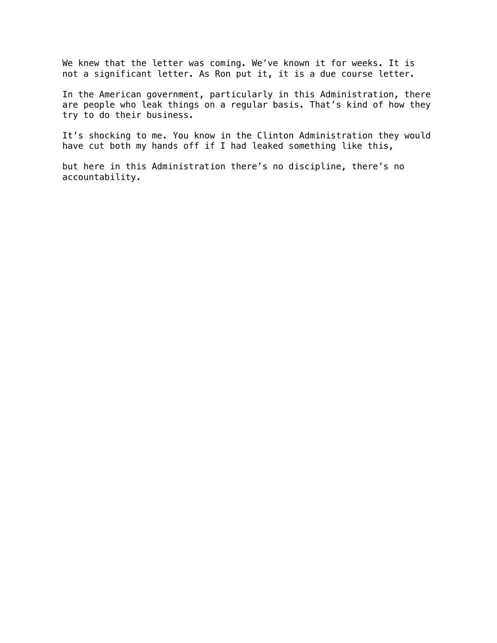We knew that the letter was coming. We've known it for weeks. It is not a significant letter. As Ron put it, it is a due course letter.

In the American government, particularly in this Administration, there are people who leak things on a regular basis. That's kind of how they try to do their business.

It's shocking to me. You know in the Clinton Administration they would have cut both my hands off if I had leaked something like this,

but here in this Administration there's no discipline, there's no accountability.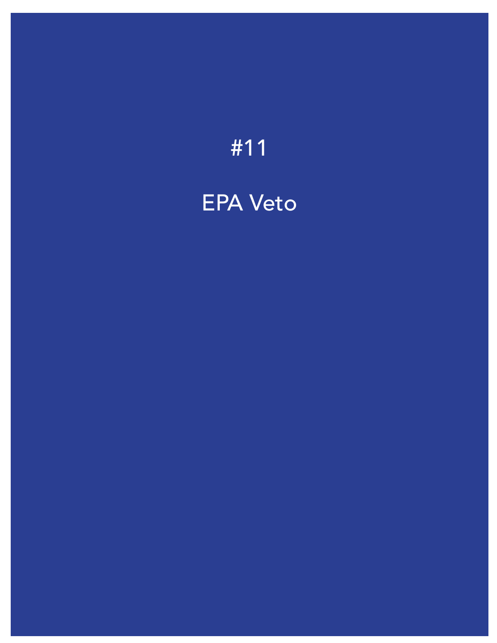#### [EPA Veto](https://vimeo.com/459815228)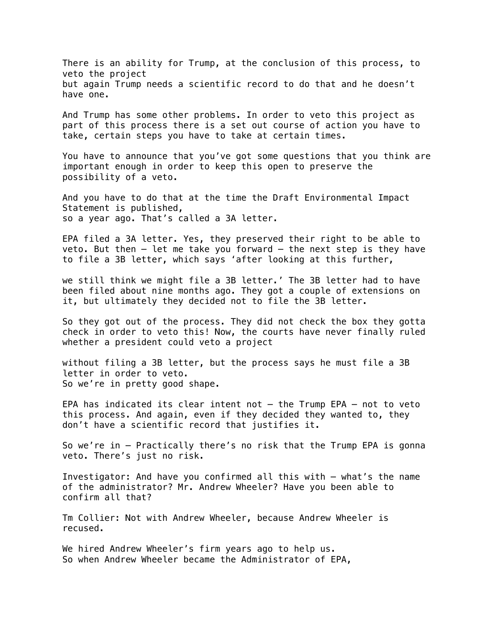There is an ability for Trump, at the conclusion of this process, to veto the project but again Trump needs a scientific record to do that and he doesn't have one.

And Trump has some other problems. In order to veto this project as part of this process there is a set out course of action you have to take, certain steps you have to take at certain times.

You have to announce that you've got some questions that you think are important enough in order to keep this open to preserve the possibility of a veto.

And you have to do that at the time the Draft Environmental Impact Statement is published, so a year ago. That's called a 3A letter.

EPA filed a 3A letter. Yes, they preserved their right to be able to veto. But then – let me take you forward – the next step is they have to file a 3B letter, which says 'after looking at this further,

we still think we might file a 3B letter.' The 3B letter had to have been filed about nine months ago. They got a couple of extensions on it, but ultimately they decided not to file the 3B letter.

So they got out of the process. They did not check the box they gotta check in order to veto this! Now, the courts have never finally ruled whether a president could veto a project

without filing a 3B letter, but the process says he must file a 3B letter in order to veto. So we're in pretty good shape.

EPA has indicated its clear intent not – the Trump EPA – not to veto this process. And again, even if they decided they wanted to, they don't have a scientific record that justifies it.

So we're in – Practically there's no risk that the Trump EPA is gonna veto. There's just no risk.

Investigator: And have you confirmed all this with – what's the name of the administrator? Mr. Andrew Wheeler? Have you been able to confirm all that?

Tm Collier: Not with Andrew Wheeler, because Andrew Wheeler is recused.

We hired Andrew Wheeler's firm years ago to help us. So when Andrew Wheeler became the Administrator of EPA,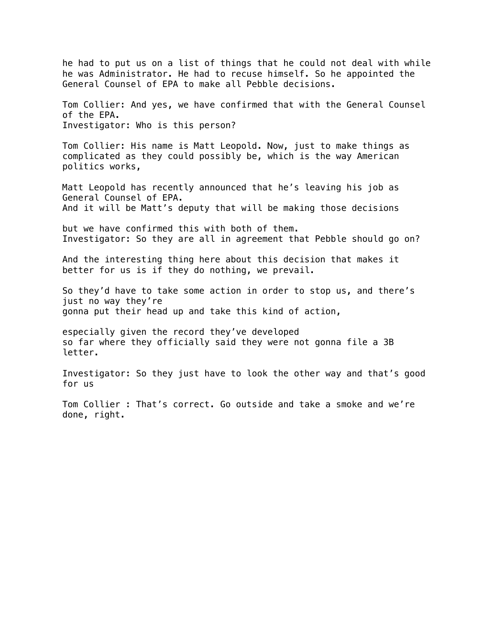he had to put us on a list of things that he could not deal with while he was Administrator. He had to recuse himself. So he appointed the General Counsel of EPA to make all Pebble decisions.

Tom Collier: And yes, we have confirmed that with the General Counsel of the EPA. Investigator: Who is this person?

Tom Collier: His name is Matt Leopold. Now, just to make things as complicated as they could possibly be, which is the way American politics works,

Matt Leopold has recently announced that he's leaving his job as General Counsel of EPA. And it will be Matt's deputy that will be making those decisions

but we have confirmed this with both of them. Investigator: So they are all in agreement that Pebble should go on?

And the interesting thing here about this decision that makes it better for us is if they do nothing, we prevail.

So they'd have to take some action in order to stop us, and there's just no way they're gonna put their head up and take this kind of action,

especially given the record they've developed so far where they officially said they were not gonna file a 3B letter.

Investigator: So they just have to look the other way and that's good for us

Tom Collier : That's correct. Go outside and take a smoke and we're done, right.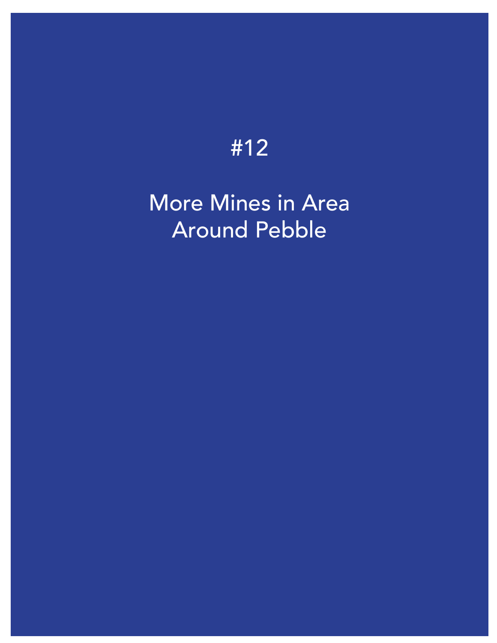#### [More Mines in Area](https://vimeo.com/460275888) Around Pebble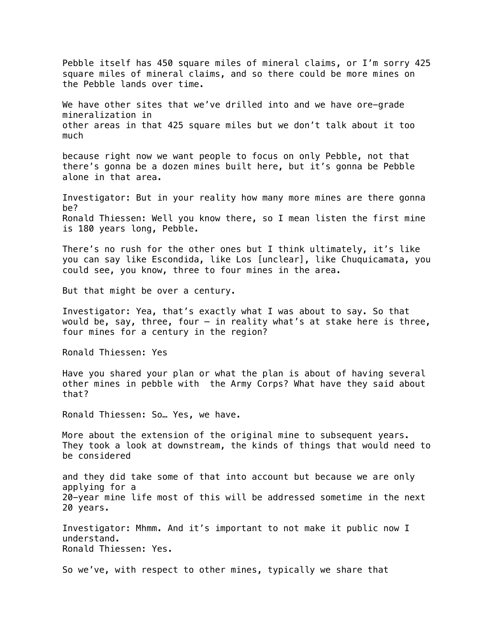Pebble itself has 450 square miles of mineral claims, or I'm sorry 425 square miles of mineral claims, and so there could be more mines on the Pebble lands over time.

We have other sites that we've drilled into and we have ore-grade mineralization in other areas in that 425 square miles but we don't talk about it too much

because right now we want people to focus on only Pebble, not that there's gonna be a dozen mines built here, but it's gonna be Pebble alone in that area.

Investigator: But in your reality how many more mines are there gonna be? Ronald Thiessen: Well you know there, so I mean listen the first mine is 180 years long, Pebble.

There's no rush for the other ones but I think ultimately, it's like you can say like Escondida, like Los [unclear], like Chuquicamata, you could see, you know, three to four mines in the area.

But that might be over a century.

Investigator: Yea, that's exactly what I was about to say. So that would be, say, three, four  $-$  in reality what's at stake here is three, four mines for a century in the region?

Ronald Thiessen: Yes

Have you shared your plan or what the plan is about of having several other mines in pebble with the Army Corps? What have they said about that?

Ronald Thiessen: So… Yes, we have.

More about the extension of the original mine to subsequent years. They took a look at downstream, the kinds of things that would need to be considered

and they did take some of that into account but because we are only applying for a 20-year mine life most of this will be addressed sometime in the next 20 years.

Investigator: Mhmm. And it's important to not make it public now I understand. Ronald Thiessen: Yes.

So we've, with respect to other mines, typically we share that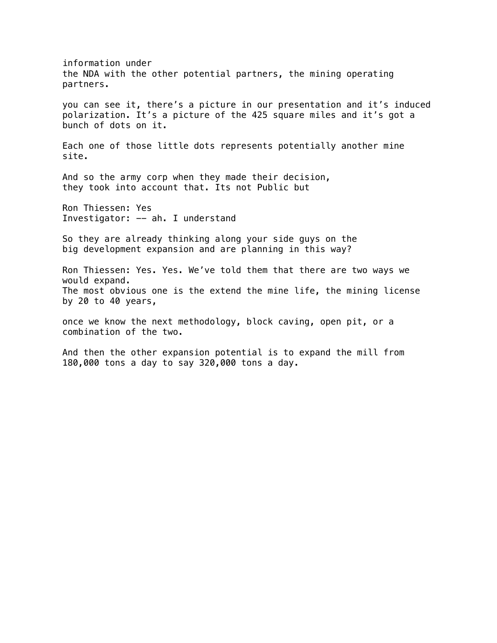information under the NDA with the other potential partners, the mining operating partners. you can see it, there's a picture in our presentation and it's induced polarization. It's a picture of the 425 square miles and it's got a bunch of dots on it. Each one of those little dots represents potentially another mine site. And so the army corp when they made their decision, they took into account that. Its not Public but Ron Thiessen: Yes Investigator: -- ah. I understand So they are already thinking along your side guys on the big development expansion and are planning in this way? Ron Thiessen: Yes. Yes. We've told them that there are two ways we would expand. The most obvious one is the extend the mine life, the mining license by 20 to 40 years, once we know the next methodology, block caving, open pit, or a combination of the two. And then the other expansion potential is to expand the mill from 180,000 tons a day to say 320,000 tons a day.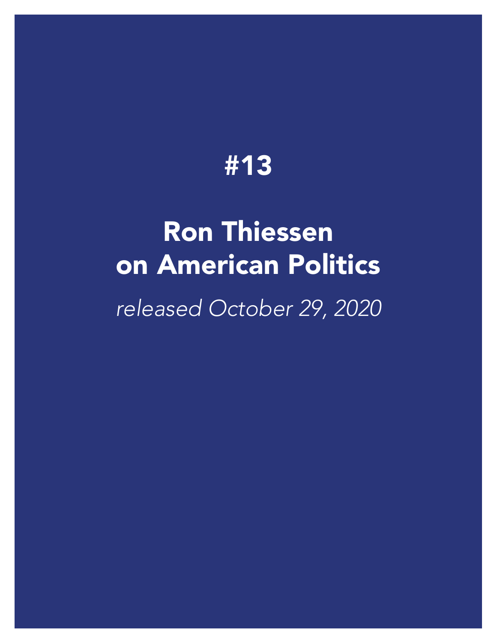# Ron Thiessen [on American Politics](https://player.vimeo.com/video/472737524) *released October 29, 2020*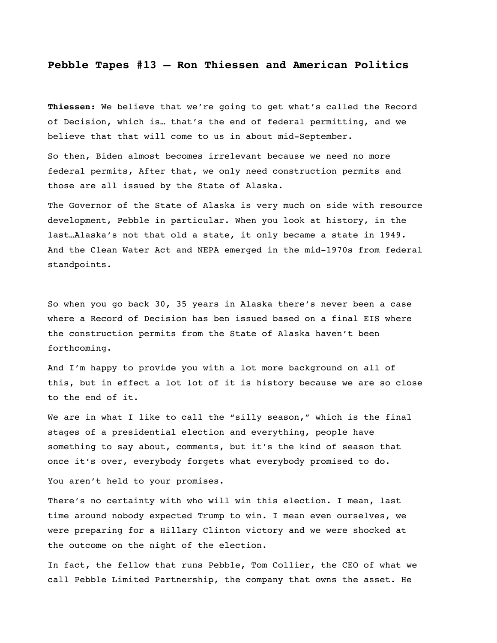#### **Pebble Tapes #13 – Ron Thiessen and American Politics**

**Thiessen:** We believe that we're going to get what's called the Record of Decision, which is… that's the end of federal permitting, and we believe that that will come to us in about mid-September.

So then, Biden almost becomes irrelevant because we need no more federal permits, After that, we only need construction permits and those are all issued by the State of Alaska.

The Governor of the State of Alaska is very much on side with resource development, Pebble in particular. When you look at history, in the last…Alaska's not that old a state, it only became a state in 1949. And the Clean Water Act and NEPA emerged in the mid-1970s from federal standpoints.

So when you go back 30, 35 years in Alaska there's never been a case where a Record of Decision has ben issued based on a final EIS where the construction permits from the State of Alaska haven't been forthcoming.

And I'm happy to provide you with a lot more background on all of this, but in effect a lot lot of it is history because we are so close to the end of it.

We are in what I like to call the "silly season," which is the final stages of a presidential election and everything, people have something to say about, comments, but it's the kind of season that once it's over, everybody forgets what everybody promised to do.

You aren't held to your promises.

There's no certainty with who will win this election. I mean, last time around nobody expected Trump to win. I mean even ourselves, we were preparing for a Hillary Clinton victory and we were shocked at the outcome on the night of the election.

In fact, the fellow that runs Pebble, Tom Collier, the CEO of what we call Pebble Limited Partnership, the company that owns the asset. He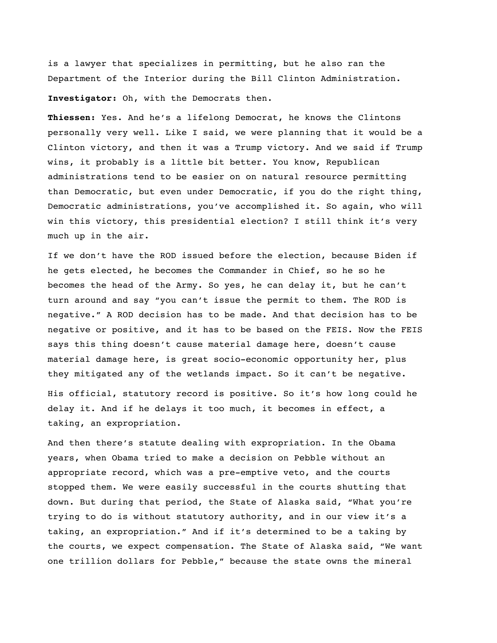is a lawyer that specializes in permitting, but he also ran the Department of the Interior during the Bill Clinton Administration.

**Investigator:** Oh, with the Democrats then.

**Thiessen:** Yes. And he's a lifelong Democrat, he knows the Clintons personally very well. Like I said, we were planning that it would be a Clinton victory, and then it was a Trump victory. And we said if Trump wins, it probably is a little bit better. You know, Republican administrations tend to be easier on on natural resource permitting than Democratic, but even under Democratic, if you do the right thing, Democratic administrations, you've accomplished it. So again, who will win this victory, this presidential election? I still think it's very much up in the air.

If we don't have the ROD issued before the election, because Biden if he gets elected, he becomes the Commander in Chief, so he so he becomes the head of the Army. So yes, he can delay it, but he can't turn around and say "you can't issue the permit to them. The ROD is negative." A ROD decision has to be made. And that decision has to be negative or positive, and it has to be based on the FEIS. Now the FEIS says this thing doesn't cause material damage here, doesn't cause material damage here, is great socio-economic opportunity her, plus they mitigated any of the wetlands impact. So it can't be negative. His official, statutory record is positive. So it's how long could he delay it. And if he delays it too much, it becomes in effect, a taking, an expropriation.

And then there's statute dealing with expropriation. In the Obama years, when Obama tried to make a decision on Pebble without an appropriate record, which was a pre-emptive veto, and the courts stopped them. We were easily successful in the courts shutting that down. But during that period, the State of Alaska said, "What you're trying to do is without statutory authority, and in our view it's a taking, an expropriation." And if it's determined to be a taking by the courts, we expect compensation. The State of Alaska said, "We want one trillion dollars for Pebble," because the state owns the mineral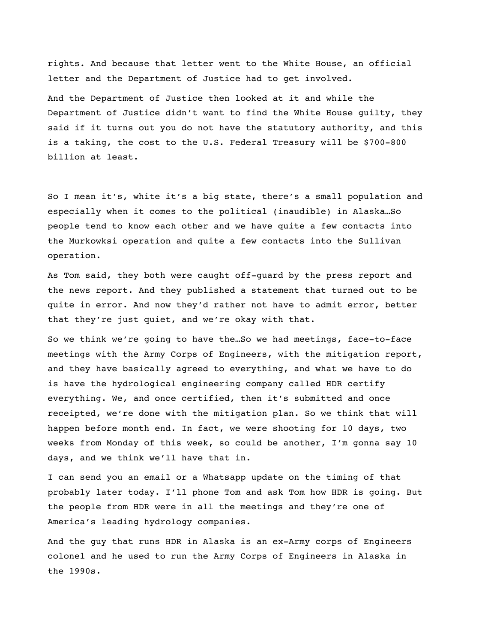rights. And because that letter went to the White House, an official letter and the Department of Justice had to get involved. And the Department of Justice then looked at it and while the Department of Justice didn't want to find the White House guilty, they said if it turns out you do not have the statutory authority, and this is a taking, the cost to the U.S. Federal Treasury will be \$700-800 billion at least.

So I mean it's, white it's a big state, there's a small population and especially when it comes to the political (inaudible) in Alaska…So people tend to know each other and we have quite a few contacts into the Murkowksi operation and quite a few contacts into the Sullivan operation.

As Tom said, they both were caught off-guard by the press report and the news report. And they published a statement that turned out to be quite in error. And now they'd rather not have to admit error, better that they're just quiet, and we're okay with that.

So we think we're going to have the…So we had meetings, face-to-face meetings with the Army Corps of Engineers, with the mitigation report, and they have basically agreed to everything, and what we have to do is have the hydrological engineering company called HDR certify everything. We, and once certified, then it's submitted and once receipted, we're done with the mitigation plan. So we think that will happen before month end. In fact, we were shooting for 10 days, two weeks from Monday of this week, so could be another, I'm gonna say 10 days, and we think we'll have that in.

I can send you an email or a Whatsapp update on the timing of that probably later today. I'll phone Tom and ask Tom how HDR is going. But the people from HDR were in all the meetings and they're one of America's leading hydrology companies.

And the guy that runs HDR in Alaska is an ex-Army corps of Engineers colonel and he used to run the Army Corps of Engineers in Alaska in the 1990s.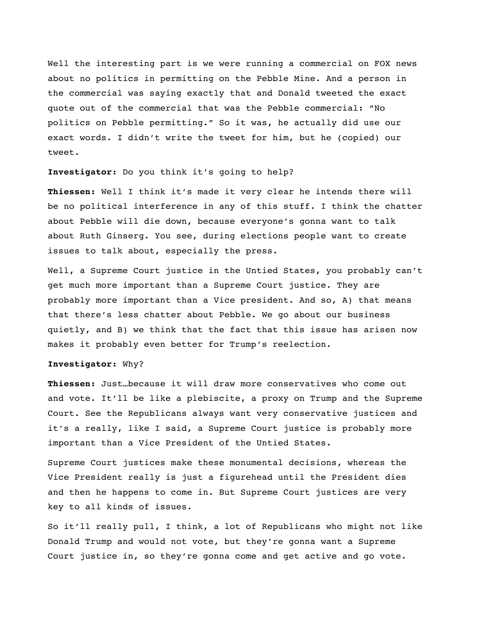Well the interesting part is we were running a commercial on FOX news about no politics in permitting on the Pebble Mine. And a person in the commercial was saying exactly that and Donald tweeted the exact quote out of the commercial that was the Pebble commercial: "No politics on Pebble permitting." So it was, he actually did use our exact words. I didn't write the tweet for him, but he (copied) our tweet.

#### **Investigator:** Do you think it's going to help?

**Thiessen:** Well I think it's made it very clear he intends there will be no political interference in any of this stuff. I think the chatter about Pebble will die down, because everyone's gonna want to talk about Ruth Ginserg. You see, during elections people want to create issues to talk about, especially the press.

Well, a Supreme Court justice in the Untied States, you probably can't get much more important than a Supreme Court justice. They are probably more important than a Vice president. And so, A) that means that there's less chatter about Pebble. We go about our business quietly, and B) we think that the fact that this issue has arisen now makes it probably even better for Trump's reelection.

#### **Investigator:** Why?

**Thiessen:** Just…because it will draw more conservatives who come out and vote. It'll be like a plebiscite, a proxy on Trump and the Supreme Court. See the Republicans always want very conservative justices and it's a really, like I said, a Supreme Court justice is probably more important than a Vice President of the Untied States.

Supreme Court justices make these monumental decisions, whereas the Vice President really is just a figurehead until the President dies and then he happens to come in. But Supreme Court justices are very key to all kinds of issues.

So it'll really pull, I think, a lot of Republicans who might not like Donald Trump and would not vote, but they're gonna want a Supreme Court justice in, so they're gonna come and get active and go vote.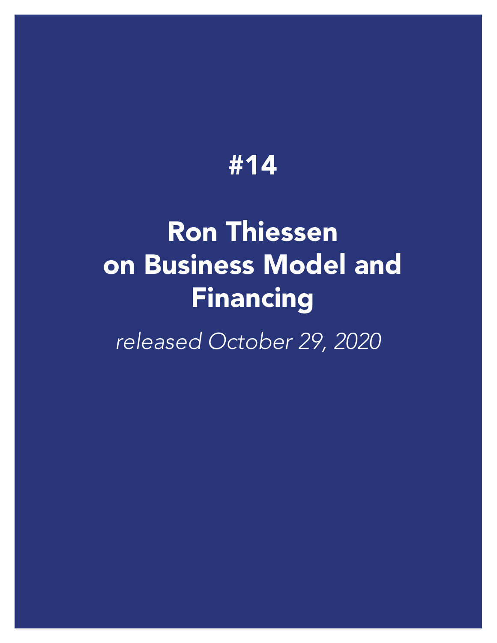# Ron Thiessen [on Business Model](https://vimeo.com/472724667) and Financing

*released October 29, 2020*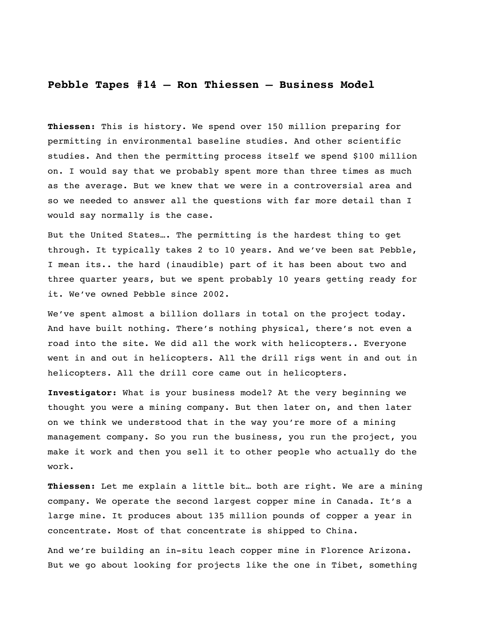#### **Pebble Tapes #14 – Ron Thiessen – Business Model**

**Thiessen:** This is history. We spend over 150 million preparing for permitting in environmental baseline studies. And other scientific studies. And then the permitting process itself we spend \$100 million on. I would say that we probably spent more than three times as much as the average. But we knew that we were in a controversial area and so we needed to answer all the questions with far more detail than I would say normally is the case.

But the United States…. The permitting is the hardest thing to get through. It typically takes 2 to 10 years. And we've been sat Pebble, I mean its.. the hard (inaudible) part of it has been about two and three quarter years, but we spent probably 10 years getting ready for it. We've owned Pebble since 2002.

We've spent almost a billion dollars in total on the project today. And have built nothing. There's nothing physical, there's not even a road into the site. We did all the work with helicopters.. Everyone went in and out in helicopters. All the drill rigs went in and out in helicopters. All the drill core came out in helicopters.

**Investigator:** What is your business model? At the very beginning we thought you were a mining company. But then later on, and then later on we think we understood that in the way you're more of a mining management company. So you run the business, you run the project, you make it work and then you sell it to other people who actually do the work.

**Thiessen:** Let me explain a little bit… both are right. We are a mining company. We operate the second largest copper mine in Canada. It's a large mine. It produces about 135 million pounds of copper a year in concentrate. Most of that concentrate is shipped to China.

And we're building an in-situ leach copper mine in Florence Arizona. But we go about looking for projects like the one in Tibet, something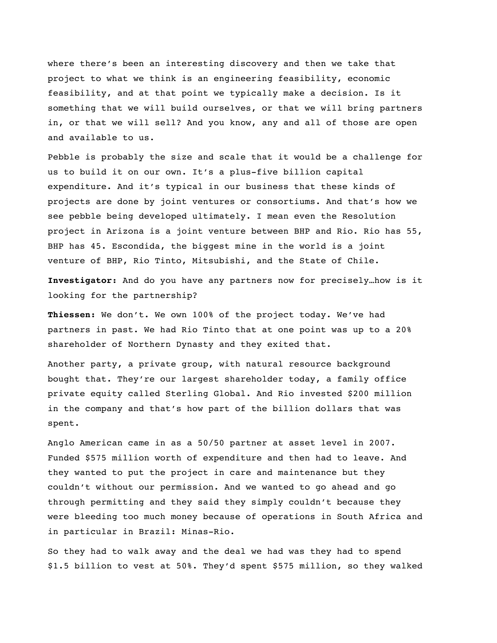where there's been an interesting discovery and then we take that project to what we think is an engineering feasibility, economic feasibility, and at that point we typically make a decision. Is it something that we will build ourselves, or that we will bring partners in, or that we will sell? And you know, any and all of those are open and available to us.

Pebble is probably the size and scale that it would be a challenge for us to build it on our own. It's a plus-five billion capital expenditure. And it's typical in our business that these kinds of projects are done by joint ventures or consortiums. And that's how we see pebble being developed ultimately. I mean even the Resolution project in Arizona is a joint venture between BHP and Rio. Rio has 55, BHP has 45. Escondida, the biggest mine in the world is a joint venture of BHP, Rio Tinto, Mitsubishi, and the State of Chile.

**Investigator:** And do you have any partners now for precisely…how is it looking for the partnership?

**Thiessen:** We don't. We own 100% of the project today. We've had partners in past. We had Rio Tinto that at one point was up to a 20% shareholder of Northern Dynasty and they exited that.

Another party, a private group, with natural resource background bought that. They're our largest shareholder today, a family office private equity called Sterling Global. And Rio invested \$200 million in the company and that's how part of the billion dollars that was spent.

Anglo American came in as a 50/50 partner at asset level in 2007. Funded \$575 million worth of expenditure and then had to leave. And they wanted to put the project in care and maintenance but they couldn't without our permission. And we wanted to go ahead and go through permitting and they said they simply couldn't because they were bleeding too much money because of operations in South Africa and in particular in Brazil: Minas-Rio.

So they had to walk away and the deal we had was they had to spend \$1.5 billion to vest at 50%. They'd spent \$575 million, so they walked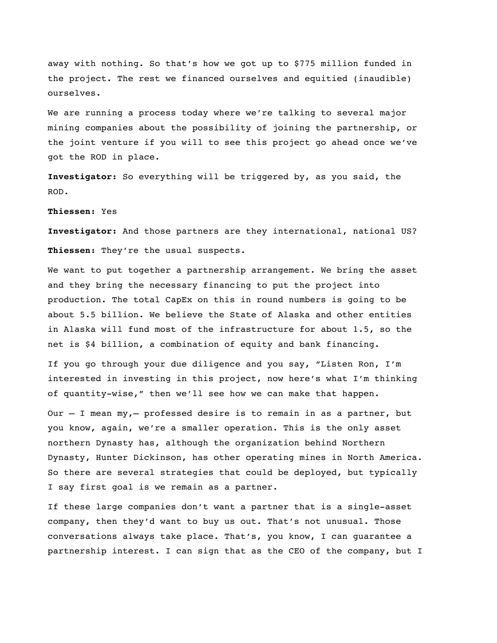away with nothing. So that's how we got up to \$775 million funded in the project. The rest we financed ourselves and equitied (inaudible) ourselves.

We are running a process today where we're talking to several major mining companies about the possibility of joining the partnership, or the joint venture if you will to see this project go ahead once we've got the ROD in place.

**Investigator:** So everything will be triggered by, as you said, the ROD.

#### **Thiessen:** Yes

**Investigator:** And those partners are they international, national US? **Thiessen:** They're the usual suspects.

We want to put together a partnership arrangement. We bring the asset and they bring the necessary financing to put the project into production. The total CapEx on this in round numbers is going to be about 5.5 billion. We believe the State of Alaska and other entities in Alaska will fund most of the infrastructure for about 1.5, so the net is \$4 billion, a combination of equity and bank financing.

If you go through your due diligence and you say, "Listen Ron, I'm interested in investing in this project, now here's what I'm thinking of quantity-wise," then we'll see how we can make that happen.

Our – I mean my,– professed desire is to remain in as a partner, but you know, again, we're a smaller operation. This is the only asset northern Dynasty has, although the organization behind Northern Dynasty, Hunter Dickinson, has other operating mines in North America. So there are several strategies that could be deployed, but typically I say first goal is we remain as a partner.

If these large companies don't want a partner that is a single-asset company, then they'd want to buy us out. That's not unusual. Those conversations always take place. That's, you know, I can guarantee a partnership interest. I can sign that as the CEO of the company, but I